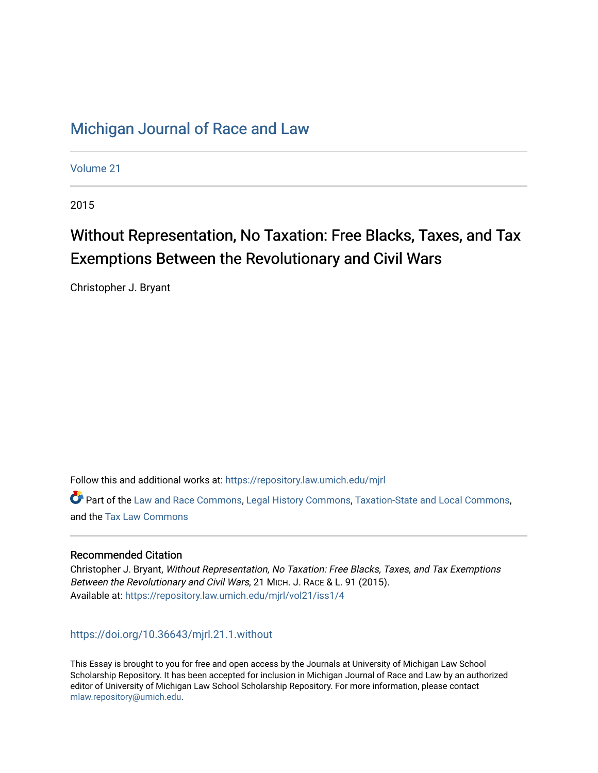## [Michigan Journal of Race and Law](https://repository.law.umich.edu/mjrl)

[Volume 21](https://repository.law.umich.edu/mjrl/vol21)

2015

# Without Representation, No Taxation: Free Blacks, Taxes, and Tax Exemptions Between the Revolutionary and Civil Wars

Christopher J. Bryant

Follow this and additional works at: [https://repository.law.umich.edu/mjrl](https://repository.law.umich.edu/mjrl?utm_source=repository.law.umich.edu%2Fmjrl%2Fvol21%2Fiss1%2F4&utm_medium=PDF&utm_campaign=PDFCoverPages) 

Part of the [Law and Race Commons,](http://network.bepress.com/hgg/discipline/1300?utm_source=repository.law.umich.edu%2Fmjrl%2Fvol21%2Fiss1%2F4&utm_medium=PDF&utm_campaign=PDFCoverPages) [Legal History Commons](http://network.bepress.com/hgg/discipline/904?utm_source=repository.law.umich.edu%2Fmjrl%2Fvol21%2Fiss1%2F4&utm_medium=PDF&utm_campaign=PDFCoverPages), [Taxation-State and Local Commons](http://network.bepress.com/hgg/discipline/882?utm_source=repository.law.umich.edu%2Fmjrl%2Fvol21%2Fiss1%2F4&utm_medium=PDF&utm_campaign=PDFCoverPages), and the [Tax Law Commons](http://network.bepress.com/hgg/discipline/898?utm_source=repository.law.umich.edu%2Fmjrl%2Fvol21%2Fiss1%2F4&utm_medium=PDF&utm_campaign=PDFCoverPages) 

## Recommended Citation

Christopher J. Bryant, Without Representation, No Taxation: Free Blacks, Taxes, and Tax Exemptions Between the Revolutionary and Civil Wars, 21 MICH. J. RACE & L. 91 (2015). Available at: [https://repository.law.umich.edu/mjrl/vol21/iss1/4](https://repository.law.umich.edu/mjrl/vol21/iss1/4?utm_source=repository.law.umich.edu%2Fmjrl%2Fvol21%2Fiss1%2F4&utm_medium=PDF&utm_campaign=PDFCoverPages) 

## <https://doi.org/10.36643/mjrl.21.1.without>

This Essay is brought to you for free and open access by the Journals at University of Michigan Law School Scholarship Repository. It has been accepted for inclusion in Michigan Journal of Race and Law by an authorized editor of University of Michigan Law School Scholarship Repository. For more information, please contact [mlaw.repository@umich.edu.](mailto:mlaw.repository@umich.edu)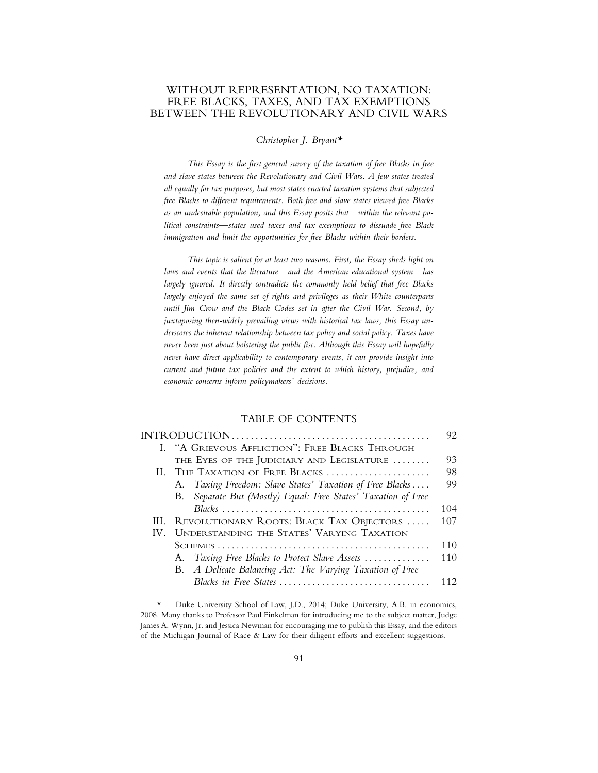## WITHOUT REPRESENTATION, NO TAXATION: FREE BLACKS, TAXES, AND TAX EXEMPTIONS BETWEEN THE REVOLUTIONARY AND CIVIL WARS

*Christopher J. Bryant\**

*This Essay is the first general survey of the taxation of free Blacks in free and slave states between the Revolutionary and Civil Wars. A few states treated all equally for tax purposes, but most states enacted taxation systems that subjected free Blacks to different requirements. Both free and slave states viewed free Blacks as an undesirable population, and this Essay posits that—within the relevant political constraints—states used taxes and tax exemptions to dissuade free Black immigration and limit the opportunities for free Blacks within their borders.*

*This topic is salient for at least two reasons. First, the Essay sheds light on laws and events that the literature—and the American educational system—has largely ignored. It directly contradicts the commonly held belief that free Blacks largely enjoyed the same set of rights and privileges as their White counterparts until Jim Crow and the Black Codes set in after the Civil War. Second, by juxtaposing then-widely prevailing views with historical tax laws, this Essay underscores the inherent relationship between tax policy and social policy. Taxes have never been just about bolstering the public fisc. Although this Essay will hopefully never have direct applicability to contemporary events, it can provide insight into current and future tax policies and the extent to which history, prejudice, and economic concerns inform policymakers' decisions.*

#### TABLE OF CONTENTS

|     |                                                               | 92  |
|-----|---------------------------------------------------------------|-----|
|     | I. "A GRIEVOUS AFFLICTION": FREE BLACKS THROUGH               |     |
|     | THE EYES OF THE JUDICIARY AND LEGISLATURE                     | 93  |
|     | II. THE TAXATION OF FREE BLACKS                               | 98  |
|     | A. Taxing Freedom: Slave States' Taxation of Free Blacks      | 99  |
|     | B. Separate But (Mostly) Equal: Free States' Taxation of Free |     |
|     |                                                               | 104 |
| HL. | REVOLUTIONARY ROOTS: BLACK TAX OBJECTORS                      | 107 |
| IV. | UNDERSTANDING THE STATES' VARYING TAXATION                    |     |
|     |                                                               | 110 |
|     | A. Taxing Free Blacks to Protect Slave Assets                 | 110 |
|     | B. A Delicate Balancing Act: The Varying Taxation of Free     |     |
|     | Blacks in Free States                                         | 112 |
|     |                                                               |     |

<sup>\*</sup> Duke University School of Law, J.D., 2014; Duke University, A.B. in economics, 2008. Many thanks to Professor Paul Finkelman for introducing me to the subject matter, Judge James A. Wynn, Jr. and Jessica Newman for encouraging me to publish this Essay, and the editors of the Michigan Journal of Race & Law for their diligent efforts and excellent suggestions.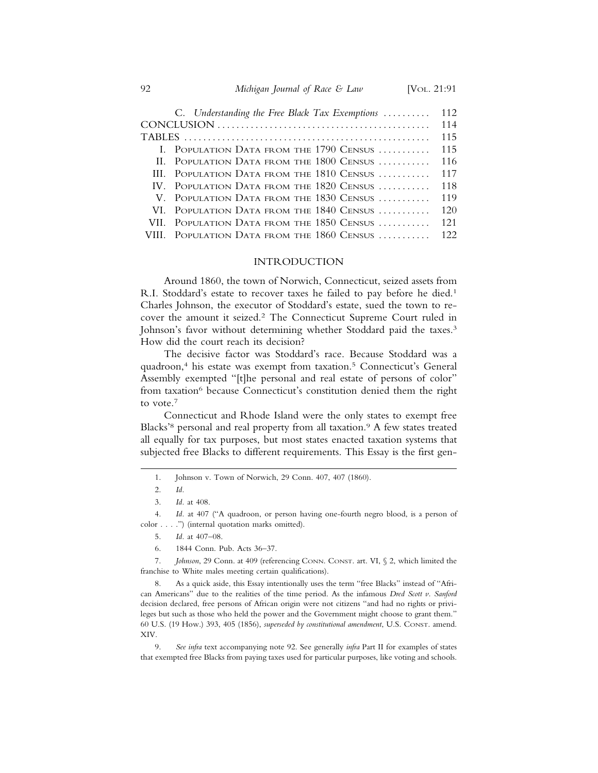| C. Understanding the Free Black Tax Exemptions | 112 |
|------------------------------------------------|-----|
|                                                | 114 |
|                                                | 115 |
| I. POPULATION DATA FROM THE 1790 CENSUS        | 115 |
| II. POPULATION DATA FROM THE 1800 CENSUS       | 116 |
| III. POPULATION DATA FROM THE 1810 CENSUS      | 117 |
| IV. POPULATION DATA FROM THE 1820 CENSUS       | 118 |
| V. POPULATION DATA FROM THE 1830 CENSUS        | 119 |
| VI. POPULATION DATA FROM THE 1840 CENSUS       | 120 |
| VII. POPULATION DATA FROM THE 1850 CENSUS      | 121 |
| VIII. POPULATION DATA FROM THE 1860 CENSUS     | 122 |

### INTRODUCTION

Around 1860, the town of Norwich, Connecticut, seized assets from R.I. Stoddard's estate to recover taxes he failed to pay before he died.<sup>1</sup> Charles Johnson, the executor of Stoddard's estate, sued the town to recover the amount it seized.2 The Connecticut Supreme Court ruled in Johnson's favor without determining whether Stoddard paid the taxes.<sup>3</sup> How did the court reach its decision?

The decisive factor was Stoddard's race. Because Stoddard was a quadroon,4 his estate was exempt from taxation.5 Connecticut's General Assembly exempted "[t]he personal and real estate of persons of color" from taxation<sup>6</sup> because Connecticut's constitution denied them the right to vote.7

Connecticut and Rhode Island were the only states to exempt free Blacks'<sup>8</sup> personal and real property from all taxation.<sup>9</sup> A few states treated all equally for tax purposes, but most states enacted taxation systems that subjected free Blacks to different requirements. This Essay is the first gen-

6. 1844 Conn. Pub. Acts 36–37.

7. *Johnson*, 29 Conn. at 409 (referencing CONN. CONST. art. VI, § 2, which limited the franchise to White males meeting certain qualifications).

8. As a quick aside, this Essay intentionally uses the term "free Blacks" instead of "African Americans" due to the realities of the time period. As the infamous *Dred Scott v. Sanford* decision declared, free persons of African origin were not citizens "and had no rights or privileges but such as those who held the power and the Government might choose to grant them." 60 U.S. (19 How.) 393, 405 (1856), *superseded by constitutional amendment*, U.S. CONST. amend. XIV.

9. *See infra* text accompanying note 92. See generally *infra* Part II for examples of states that exempted free Blacks from paying taxes used for particular purposes, like voting and schools.

<sup>1.</sup> Johnson v. Town of Norwich, 29 Conn. 407, 407 (1860).

<sup>2.</sup> *Id.*

<sup>3.</sup> *Id.* at 408.

<sup>4.</sup> *Id.* at 407 ("A quadroon, or person having one-fourth negro blood, is a person of color . . . .") (internal quotation marks omitted).

<sup>5.</sup> *Id.* at 407–08.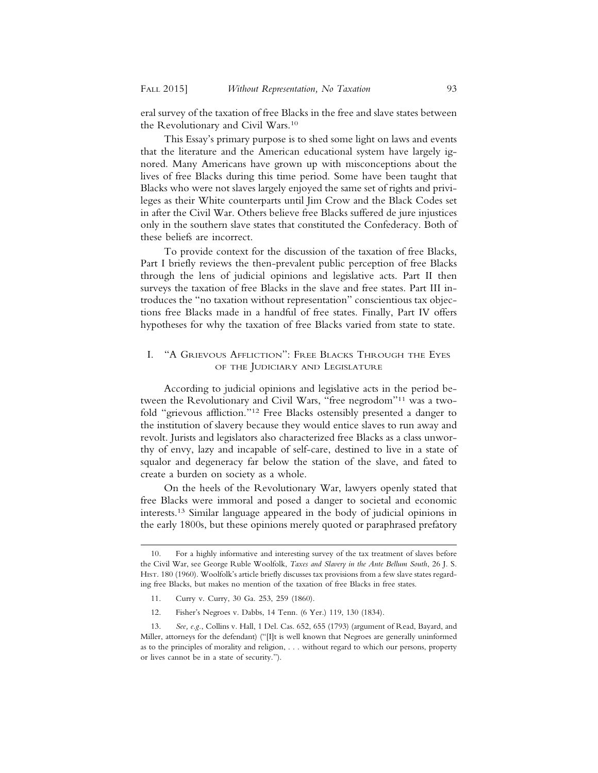eral survey of the taxation of free Blacks in the free and slave states between the Revolutionary and Civil Wars.10

This Essay's primary purpose is to shed some light on laws and events that the literature and the American educational system have largely ignored. Many Americans have grown up with misconceptions about the lives of free Blacks during this time period. Some have been taught that Blacks who were not slaves largely enjoyed the same set of rights and privileges as their White counterparts until Jim Crow and the Black Codes set in after the Civil War. Others believe free Blacks suffered de jure injustices only in the southern slave states that constituted the Confederacy. Both of these beliefs are incorrect.

To provide context for the discussion of the taxation of free Blacks, Part I briefly reviews the then-prevalent public perception of free Blacks through the lens of judicial opinions and legislative acts. Part II then surveys the taxation of free Blacks in the slave and free states. Part III introduces the "no taxation without representation" conscientious tax objections free Blacks made in a handful of free states. Finally, Part IV offers hypotheses for why the taxation of free Blacks varied from state to state.

## I. "A GRIEVOUS AFFLICTION": FREE BLACKS THROUGH THE EYES OF THE JUDICIARY AND LEGISLATURE

According to judicial opinions and legislative acts in the period between the Revolutionary and Civil Wars, "free negrodom"11 was a twofold "grievous affliction."12 Free Blacks ostensibly presented a danger to the institution of slavery because they would entice slaves to run away and revolt. Jurists and legislators also characterized free Blacks as a class unworthy of envy, lazy and incapable of self-care, destined to live in a state of squalor and degeneracy far below the station of the slave, and fated to create a burden on society as a whole.

On the heels of the Revolutionary War, lawyers openly stated that free Blacks were immoral and posed a danger to societal and economic interests.13 Similar language appeared in the body of judicial opinions in the early 1800s, but these opinions merely quoted or paraphrased prefatory

<sup>10.</sup> For a highly informative and interesting survey of the tax treatment of slaves before the Civil War, see George Ruble Woolfolk, *Taxes and Slavery in the Ante Bellum South*, 26 J. S. HIST. 180 (1960). Woolfolk's article briefly discusses tax provisions from a few slave states regarding free Blacks, but makes no mention of the taxation of free Blacks in free states.

<sup>11.</sup> Curry v. Curry, 30 Ga. 253, 259 (1860).

<sup>12.</sup> Fisher's Negroes v. Dabbs, 14 Tenn. (6 Yer.) 119, 130 (1834).

<sup>13.</sup> *See, e.g.*, Collins v. Hall, 1 Del. Cas. 652, 655 (1793) (argument of Read, Bayard, and Miller, attorneys for the defendant) ("[I]t is well known that Negroes are generally uninformed as to the principles of morality and religion, . . . without regard to which our persons, property or lives cannot be in a state of security.").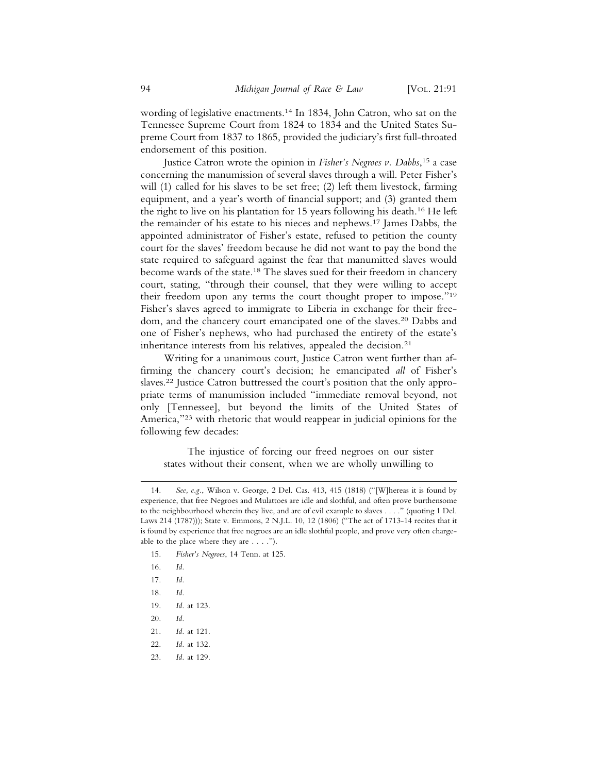wording of legislative enactments.<sup>14</sup> In 1834, John Catron, who sat on the Tennessee Supreme Court from 1824 to 1834 and the United States Supreme Court from 1837 to 1865, provided the judiciary's first full-throated endorsement of this position.

Justice Catron wrote the opinion in *Fisher's Negroes v. Dabbs*, 15 a case concerning the manumission of several slaves through a will. Peter Fisher's will (1) called for his slaves to be set free; (2) left them livestock, farming equipment, and a year's worth of financial support; and (3) granted them the right to live on his plantation for 15 years following his death.16 He left the remainder of his estate to his nieces and nephews.17 James Dabbs, the appointed administrator of Fisher's estate, refused to petition the county court for the slaves' freedom because he did not want to pay the bond the state required to safeguard against the fear that manumitted slaves would become wards of the state.18 The slaves sued for their freedom in chancery court, stating, "through their counsel, that they were willing to accept their freedom upon any terms the court thought proper to impose."19 Fisher's slaves agreed to immigrate to Liberia in exchange for their freedom, and the chancery court emancipated one of the slaves.<sup>20</sup> Dabbs and one of Fisher's nephews, who had purchased the entirety of the estate's inheritance interests from his relatives, appealed the decision.<sup>21</sup>

Writing for a unanimous court, Justice Catron went further than affirming the chancery court's decision; he emancipated *all* of Fisher's slaves.22 Justice Catron buttressed the court's position that the only appropriate terms of manumission included "immediate removal beyond, not only [Tennessee], but beyond the limits of the United States of America,"<sup>23</sup> with rhetoric that would reappear in judicial opinions for the following few decades:

The injustice of forcing our freed negroes on our sister states without their consent, when we are wholly unwilling to

- 15. *Fisher's Negroes*, 14 Tenn. at 125.
- 16. *Id.*
- 17. *Id.*
- 18. *Id.*
- 19. *Id.* at 123.
- 20. *Id.*
- 21. *Id.* at 121.
- 22. *Id.* at 132.
- 23. *Id.* at 129.

<sup>14.</sup> *See, e.g.*, Wilson v. George, 2 Del. Cas. 413, 415 (1818) ("[W]hereas it is found by experience, that free Negroes and Mulattoes are idle and slothful, and often prove burthensome to the neighbourhood wherein they live, and are of evil example to slaves . . . ." (quoting 1 Del. Laws 214 (1787))); State v. Emmons, 2 N.J.L. 10, 12 (1806) ("The act of 1713-14 recites that it is found by experience that free negroes are an idle slothful people, and prove very often chargeable to the place where they are . . . .").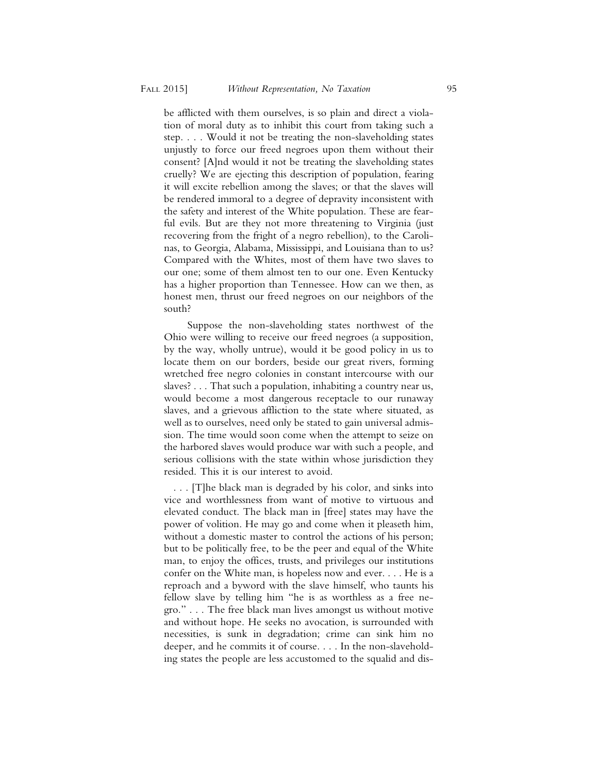be afflicted with them ourselves, is so plain and direct a violation of moral duty as to inhibit this court from taking such a step. . . . Would it not be treating the non-slaveholding states unjustly to force our freed negroes upon them without their consent? [A]nd would it not be treating the slaveholding states cruelly? We are ejecting this description of population, fearing it will excite rebellion among the slaves; or that the slaves will be rendered immoral to a degree of depravity inconsistent with the safety and interest of the White population. These are fearful evils. But are they not more threatening to Virginia (just recovering from the fright of a negro rebellion), to the Carolinas, to Georgia, Alabama, Mississippi, and Louisiana than to us? Compared with the Whites, most of them have two slaves to our one; some of them almost ten to our one. Even Kentucky has a higher proportion than Tennessee. How can we then, as honest men, thrust our freed negroes on our neighbors of the south?

Suppose the non-slaveholding states northwest of the Ohio were willing to receive our freed negroes (a supposition, by the way, wholly untrue), would it be good policy in us to locate them on our borders, beside our great rivers, forming wretched free negro colonies in constant intercourse with our slaves? . . . That such a population, inhabiting a country near us, would become a most dangerous receptacle to our runaway slaves, and a grievous affliction to the state where situated, as well as to ourselves, need only be stated to gain universal admission. The time would soon come when the attempt to seize on the harbored slaves would produce war with such a people, and serious collisions with the state within whose jurisdiction they resided. This it is our interest to avoid.

 . . . [T]he black man is degraded by his color, and sinks into vice and worthlessness from want of motive to virtuous and elevated conduct. The black man in [free] states may have the power of volition. He may go and come when it pleaseth him, without a domestic master to control the actions of his person; but to be politically free, to be the peer and equal of the White man, to enjoy the offices, trusts, and privileges our institutions confer on the White man, is hopeless now and ever. . . . He is a reproach and a byword with the slave himself, who taunts his fellow slave by telling him "he is as worthless as a free negro." . . . The free black man lives amongst us without motive and without hope. He seeks no avocation, is surrounded with necessities, is sunk in degradation; crime can sink him no deeper, and he commits it of course. . . . In the non-slaveholding states the people are less accustomed to the squalid and dis-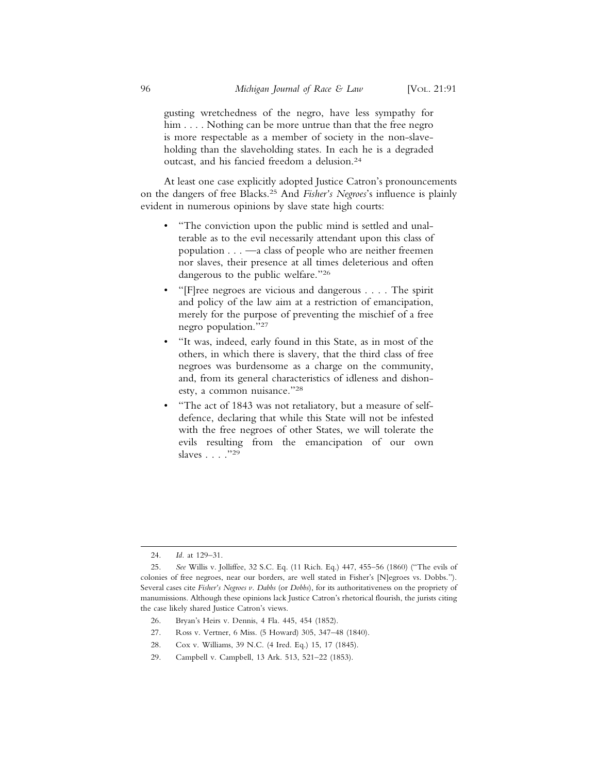gusting wretchedness of the negro, have less sympathy for him . . . . Nothing can be more untrue than that the free negro is more respectable as a member of society in the non-slaveholding than the slaveholding states. In each he is a degraded outcast, and his fancied freedom a delusion.24

At least one case explicitly adopted Justice Catron's pronouncements on the dangers of free Blacks.25 And *Fisher's Negroes*'s influence is plainly evident in numerous opinions by slave state high courts:

- "The conviction upon the public mind is settled and unalterable as to the evil necessarily attendant upon this class of population . . . —a class of people who are neither freemen nor slaves, their presence at all times deleterious and often dangerous to the public welfare."26
- "[F]ree negroes are vicious and dangerous . . . . The spirit and policy of the law aim at a restriction of emancipation, merely for the purpose of preventing the mischief of a free negro population."27
- "It was, indeed, early found in this State, as in most of the others, in which there is slavery, that the third class of free negroes was burdensome as a charge on the community, and, from its general characteristics of idleness and dishonesty, a common nuisance."28
- "The act of 1843 was not retaliatory, but a measure of selfdefence, declaring that while this State will not be infested with the free negroes of other States, we will tolerate the evils resulting from the emancipation of our own slaves . . . . "29

- 26. Bryan's Heirs v. Dennis, 4 Fla. 445, 454 (1852).
- 27. Ross v. Vertner, 6 Miss. (5 Howard) 305, 347–48 (1840).
- 28. Cox v. Williams, 39 N.C. (4 Ired. Eq.) 15, 17 (1845).
- 29. Campbell v. Campbell, 13 Ark. 513, 521–22 (1853).

<sup>24.</sup> *Id.* at 129–31.

<sup>25.</sup> *See* Willis v. Jolliffee, 32 S.C. Eq. (11 Rich. Eq.) 447, 455–56 (1860) ("The evils of colonies of free negroes, near our borders, are well stated in Fisher's [N]egroes vs. Dobbs."). Several cases cite *Fisher's Negroes v. Dabbs* (or *Dobbs*), for its authoritativeness on the propriety of manumissions. Although these opinions lack Justice Catron's rhetorical flourish, the jurists citing the case likely shared Justice Catron's views.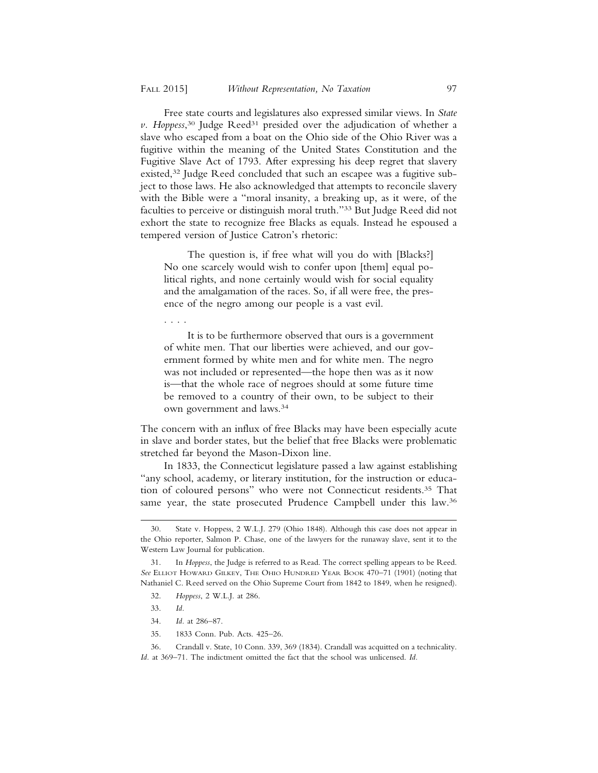Free state courts and legislatures also expressed similar views. In *State* v. Hoppess,<sup>30</sup> Judge Reed<sup>31</sup> presided over the adjudication of whether a slave who escaped from a boat on the Ohio side of the Ohio River was a fugitive within the meaning of the United States Constitution and the Fugitive Slave Act of 1793. After expressing his deep regret that slavery existed,32 Judge Reed concluded that such an escapee was a fugitive subject to those laws. He also acknowledged that attempts to reconcile slavery with the Bible were a "moral insanity, a breaking up, as it were, of the faculties to perceive or distinguish moral truth."33 But Judge Reed did not exhort the state to recognize free Blacks as equals. Instead he espoused a tempered version of Justice Catron's rhetoric:

The question is, if free what will you do with [Blacks?] No one scarcely would wish to confer upon [them] equal political rights, and none certainly would wish for social equality and the amalgamation of the races. So, if all were free, the presence of the negro among our people is a vast evil.

. . . .

It is to be furthermore observed that ours is a government of white men. That our liberties were achieved, and our government formed by white men and for white men. The negro was not included or represented—the hope then was as it now is—that the whole race of negroes should at some future time be removed to a country of their own, to be subject to their own government and laws.34

The concern with an influx of free Blacks may have been especially acute in slave and border states, but the belief that free Blacks were problematic stretched far beyond the Mason-Dixon line.

In 1833, the Connecticut legislature passed a law against establishing "any school, academy, or literary institution, for the instruction or education of coloured persons" who were not Connecticut residents.35 That same year, the state prosecuted Prudence Campbell under this law.<sup>36</sup>

<sup>30.</sup> State v. Hoppess, 2 W.L.J. 279 (Ohio 1848). Although this case does not appear in the Ohio reporter, Salmon P. Chase, one of the lawyers for the runaway slave, sent it to the Western Law Journal for publication.

<sup>31.</sup> In *Hoppess*, the Judge is referred to as Read. The correct spelling appears to be Reed. *See* ELLIOT HOWARD GILKEY, THE OHIO HUNDRED YEAR BOOK 470–71 (1901) (noting that Nathaniel C. Reed served on the Ohio Supreme Court from 1842 to 1849, when he resigned).

<sup>32.</sup> *Hoppess*, 2 W.L.J. at 286.

<sup>33.</sup> *Id.*

<sup>34.</sup> *Id.* at 286–87.

<sup>35. 1833</sup> Conn. Pub. Acts. 425–26.

<sup>36.</sup> Crandall v. State, 10 Conn. 339, 369 (1834). Crandall was acquitted on a technicality. *Id.* at 369–71. The indictment omitted the fact that the school was unlicensed. *Id.*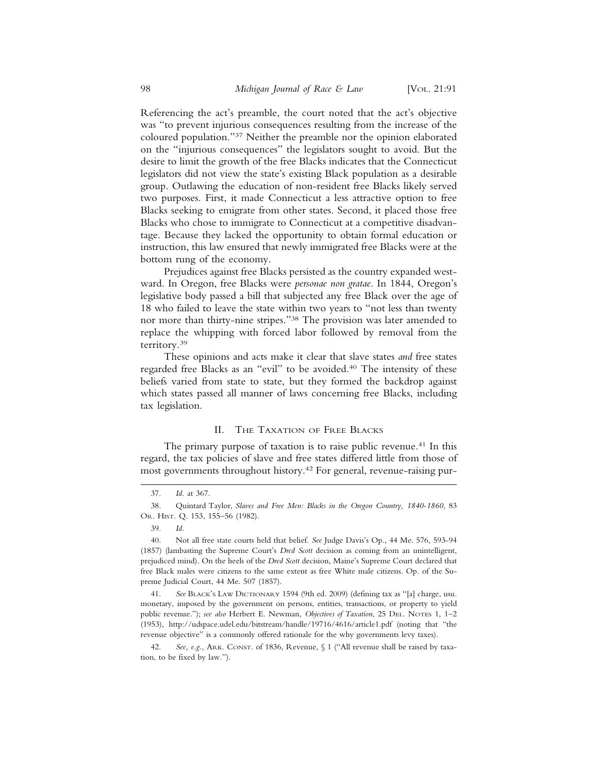Referencing the act's preamble, the court noted that the act's objective was "to prevent injurious consequences resulting from the increase of the coloured population."37 Neither the preamble nor the opinion elaborated on the "injurious consequences" the legislators sought to avoid. But the

desire to limit the growth of the free Blacks indicates that the Connecticut legislators did not view the state's existing Black population as a desirable group. Outlawing the education of non-resident free Blacks likely served two purposes. First, it made Connecticut a less attractive option to free Blacks seeking to emigrate from other states. Second, it placed those free Blacks who chose to immigrate to Connecticut at a competitive disadvantage. Because they lacked the opportunity to obtain formal education or instruction, this law ensured that newly immigrated free Blacks were at the bottom rung of the economy.

Prejudices against free Blacks persisted as the country expanded westward. In Oregon, free Blacks were *personae non gratae*. In 1844, Oregon's legislative body passed a bill that subjected any free Black over the age of 18 who failed to leave the state within two years to "not less than twenty nor more than thirty-nine stripes."38 The provision was later amended to replace the whipping with forced labor followed by removal from the territory.39

These opinions and acts make it clear that slave states *and* free states regarded free Blacks as an "evil" to be avoided.40 The intensity of these beliefs varied from state to state, but they formed the backdrop against which states passed all manner of laws concerning free Blacks, including tax legislation.

#### II. THE TAXATION OF FREE BLACKS

The primary purpose of taxation is to raise public revenue.<sup>41</sup> In this regard, the tax policies of slave and free states differed little from those of most governments throughout history.42 For general, revenue-raising pur-

<sup>37.</sup> *Id.* at 367.

<sup>38.</sup> Quintard Taylor, *Slaves and Free Men: Blacks in the Oregon Country, 1840-1860*, 83 OR. HIST. Q. 153, 155–56 (1982).

<sup>39.</sup> *Id.*

<sup>40.</sup> Not all free state courts held that belief. *See* Judge Davis's Op., 44 Me. 576, 593-94 (1857) (lambasting the Supreme Court's *Dred Scott* decision as coming from an unintelligent, prejudiced mind). On the heels of the *Dred Scott* decision, Maine's Supreme Court declared that free Black males were citizens to the same extent as free White male citizens. Op. of the Supreme Judicial Court, 44 Me. 507 (1857).

<sup>41.</sup> *See* BLACK'S LAW DICTIONARY 1594 (9th ed. 2009) (defining tax as "[a] charge, usu. monetary, imposed by the government on persons, entities, transactions, or property to yield public revenue."); *see also* Herbert E. Newman, *Objectives of Taxation*, 25 DEL. NOTES 1, 1–2 (1953), http://udspace.udel.edu/bitstream/handle/19716/4616/article1.pdf (noting that "the revenue objective" is a commonly offered rationale for the why governments levy taxes).

<sup>42.</sup> *See, e.g.*, ARK. CONST. of 1836, Revenue, § 1 ("All revenue shall be raised by taxation, to be fixed by law.").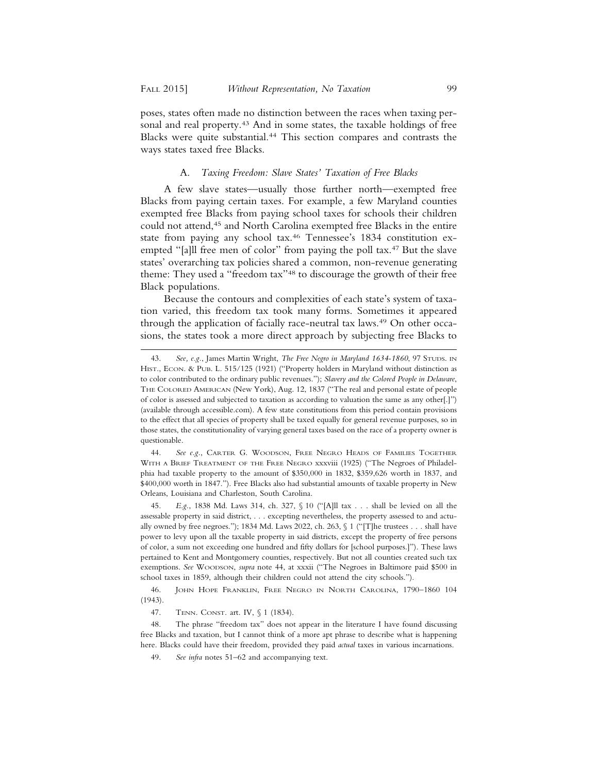poses, states often made no distinction between the races when taxing personal and real property.<sup>43</sup> And in some states, the taxable holdings of free Blacks were quite substantial.44 This section compares and contrasts the ways states taxed free Blacks.

#### A. *Taxing Freedom: Slave States' Taxation of Free Blacks*

A few slave states—usually those further north—exempted free Blacks from paying certain taxes. For example, a few Maryland counties exempted free Blacks from paying school taxes for schools their children could not attend,45 and North Carolina exempted free Blacks in the entire state from paying any school tax.46 Tennessee's 1834 constitution exempted "[a]ll free men of color" from paying the poll tax.<sup>47</sup> But the slave states' overarching tax policies shared a common, non-revenue generating theme: They used a "freedom tax"48 to discourage the growth of their free Black populations.

Because the contours and complexities of each state's system of taxation varied, this freedom tax took many forms. Sometimes it appeared through the application of facially race-neutral tax laws.<sup>49</sup> On other occasions, the states took a more direct approach by subjecting free Blacks to

44. *See e.g.*, CARTER G. WOODSON, FREE NEGRO HEADS OF FAMILIES TOGETHER WITH A BRIEF TREATMENT OF THE FREE NEGRO xxxviii (1925) ("The Negroes of Philadelphia had taxable property to the amount of \$350,000 in 1832, \$359,626 worth in 1837, and \$400,000 worth in 1847."). Free Blacks also had substantial amounts of taxable property in New Orleans, Louisiana and Charleston, South Carolina.

45. *E.g.*, 1838 Md. Laws 314, ch. 327, § 10 ("[A]ll tax . . . shall be levied on all the assessable property in said district, . . . excepting nevertheless, the property assessed to and actually owned by free negroes."); 1834 Md. Laws 2022, ch. 263, § 1 ("[T]he trustees . . . shall have power to levy upon all the taxable property in said districts, except the property of free persons of color, a sum not exceeding one hundred and fifty dollars for [school purposes.]"). These laws pertained to Kent and Montgomery counties, respectively. But not all counties created such tax exemptions. *See* WOODSON, *supra* note 44, at xxxii ("The Negroes in Baltimore paid \$500 in school taxes in 1859, although their children could not attend the city schools.").

46. JOHN HOPE FRANKLIN, FREE NEGRO IN NORTH CAROLINA, 1790–1860 104 (1943).

47. TENN. CONST. art. IV, § 1 (1834).

48. The phrase "freedom tax" does not appear in the literature I have found discussing free Blacks and taxation, but I cannot think of a more apt phrase to describe what is happening here. Blacks could have their freedom, provided they paid *actual* taxes in various incarnations.

49. *See infra* notes 51–62 and accompanying text.

<sup>43.</sup> *See, e.g.*, James Martin Wright, *The Free Negro in Maryland 1634-1860*, 97 STUDS. IN HIST., ECON. & PUB. L. 515/125 (1921) ("Property holders in Maryland without distinction as to color contributed to the ordinary public revenues."); *Slavery and the Colored People in Delaware*, THE COLORED AMERICAN (New York), Aug. 12, 1837 ("The real and personal estate of people of color is assessed and subjected to taxation as according to valuation the same as any other[.]") (available through accessible.com). A few state constitutions from this period contain provisions to the effect that all species of property shall be taxed equally for general revenue purposes, so in those states, the constitutionality of varying general taxes based on the race of a property owner is questionable.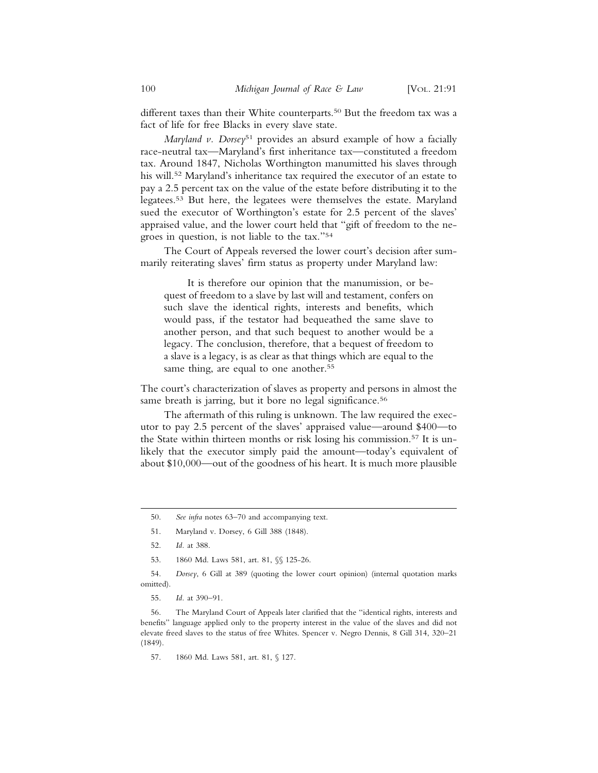different taxes than their White counterparts.<sup>50</sup> But the freedom tax was a fact of life for free Blacks in every slave state.

*Maryland v. Dorsey*51 provides an absurd example of how a facially race-neutral tax—Maryland's first inheritance tax—constituted a freedom tax. Around 1847, Nicholas Worthington manumitted his slaves through his will.<sup>52</sup> Maryland's inheritance tax required the executor of an estate to pay a 2.5 percent tax on the value of the estate before distributing it to the legatees.53 But here, the legatees were themselves the estate. Maryland sued the executor of Worthington's estate for 2.5 percent of the slaves' appraised value, and the lower court held that "gift of freedom to the negroes in question, is not liable to the tax."54

The Court of Appeals reversed the lower court's decision after summarily reiterating slaves' firm status as property under Maryland law:

It is therefore our opinion that the manumission, or bequest of freedom to a slave by last will and testament, confers on such slave the identical rights, interests and benefits, which would pass, if the testator had bequeathed the same slave to another person, and that such bequest to another would be a legacy. The conclusion, therefore, that a bequest of freedom to a slave is a legacy, is as clear as that things which are equal to the same thing, are equal to one another.<sup>55</sup>

The court's characterization of slaves as property and persons in almost the same breath is jarring, but it bore no legal significance.<sup>56</sup>

The aftermath of this ruling is unknown. The law required the executor to pay 2.5 percent of the slaves' appraised value—around \$400—to the State within thirteen months or risk losing his commission.57 It is unlikely that the executor simply paid the amount—today's equivalent of about \$10,000—out of the goodness of his heart. It is much more plausible

<sup>50.</sup> *See infra* notes 63–70 and accompanying text.

<sup>51.</sup> Maryland v. Dorsey, 6 Gill 388 (1848).

<sup>52.</sup> *Id.* at 388.

<sup>53. 1860</sup> Md. Laws 581, art. 81,  $\$  125-26.

<sup>54.</sup> *Dorsey*, 6 Gill at 389 (quoting the lower court opinion) (internal quotation marks omitted).

<sup>55.</sup> *Id.* at 390–91.

<sup>56.</sup> The Maryland Court of Appeals later clarified that the "identical rights, interests and benefits" language applied only to the property interest in the value of the slaves and did not elevate freed slaves to the status of free Whites. Spencer v. Negro Dennis, 8 Gill 314, 320–21 (1849).

<sup>57. 1860</sup> Md. Laws 581, art. 81, § 127.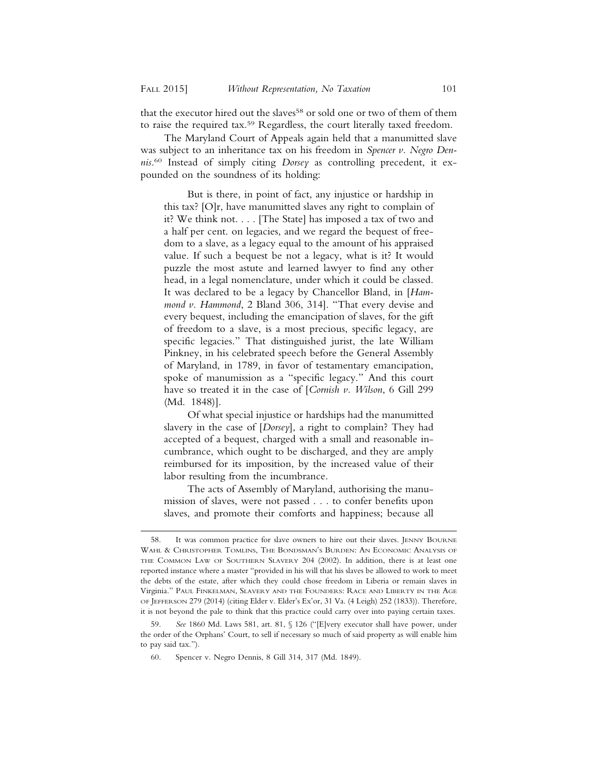that the executor hired out the slaves<sup>58</sup> or sold one or two of them of them to raise the required tax.59 Regardless, the court literally taxed freedom.

The Maryland Court of Appeals again held that a manumitted slave was subject to an inheritance tax on his freedom in *Spencer v. Negro Dennis*. 60 Instead of simply citing *Dorsey* as controlling precedent, it expounded on the soundness of its holding:

But is there, in point of fact, any injustice or hardship in this tax? [O]r, have manumitted slaves any right to complain of it? We think not. . . . [The State] has imposed a tax of two and a half per cent. on legacies, and we regard the bequest of freedom to a slave, as a legacy equal to the amount of his appraised value. If such a bequest be not a legacy, what is it? It would puzzle the most astute and learned lawyer to find any other head, in a legal nomenclature, under which it could be classed. It was declared to be a legacy by Chancellor Bland, in [*Hammond v. Hammond*, 2 Bland 306, 314]. "That every devise and every bequest, including the emancipation of slaves, for the gift of freedom to a slave, is a most precious, specific legacy, are specific legacies." That distinguished jurist, the late William Pinkney, in his celebrated speech before the General Assembly of Maryland, in 1789, in favor of testamentary emancipation, spoke of manumission as a "specific legacy." And this court have so treated it in the case of [*Cornish v. Wilson*, 6 Gill 299 (Md. 1848)].

Of what special injustice or hardships had the manumitted slavery in the case of [*Dorsey*], a right to complain? They had accepted of a bequest, charged with a small and reasonable incumbrance, which ought to be discharged, and they are amply reimbursed for its imposition, by the increased value of their labor resulting from the incumbrance.

The acts of Assembly of Maryland, authorising the manumission of slaves, were not passed . . . to confer benefits upon slaves, and promote their comforts and happiness; because all

<sup>58.</sup> It was common practice for slave owners to hire out their slaves. JENNY BOURNE WAHL & CHRISTOPHER TOMLINS, THE BONDSMAN'S BURDEN: AN ECONOMIC ANALYSIS OF THE COMMON LAW OF SOUTHERN SLAVERY 204 (2002). In addition, there is at least one reported instance where a master "provided in his will that his slaves be allowed to work to meet the debts of the estate, after which they could chose freedom in Liberia or remain slaves in Virginia." PAUL FINKELMAN, SLAVERY AND THE FOUNDERS: RACE AND LIBERTY IN THE AGE OF JEFFERSON 279 (2014) (citing Elder v. Elder's Ex'or, 31 Va. (4 Leigh) 252 (1833)). Therefore, it is not beyond the pale to think that this practice could carry over into paying certain taxes.

<sup>59.</sup> *See* 1860 Md. Laws 581, art. 81, § 126 ("[E]very executor shall have power, under the order of the Orphans' Court, to sell if necessary so much of said property as will enable him to pay said tax.").

<sup>60.</sup> Spencer v. Negro Dennis, 8 Gill 314, 317 (Md. 1849).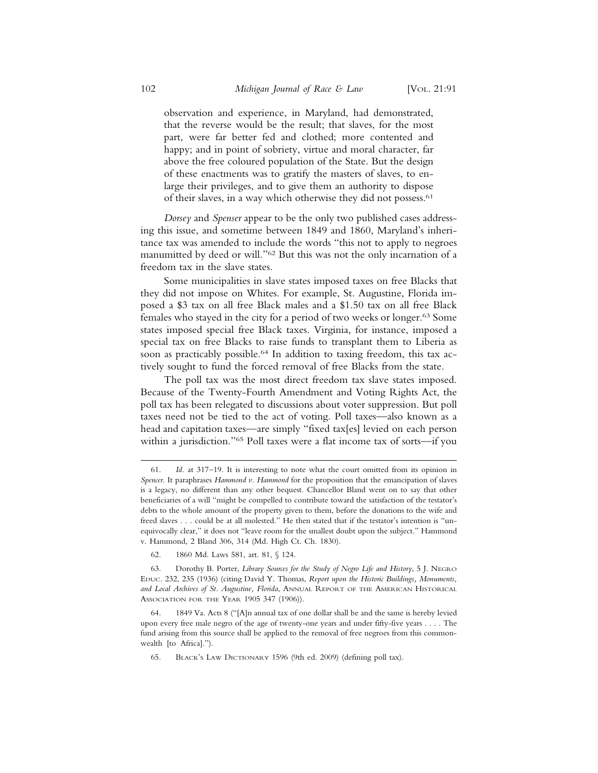observation and experience, in Maryland, had demonstrated, that the reverse would be the result; that slaves, for the most part, were far better fed and clothed; more contented and happy; and in point of sobriety, virtue and moral character, far above the free coloured population of the State. But the design of these enactments was to gratify the masters of slaves, to enlarge their privileges, and to give them an authority to dispose of their slaves, in a way which otherwise they did not possess.<sup>61</sup>

*Dorsey* and *Spenser* appear to be the only two published cases addressing this issue, and sometime between 1849 and 1860, Maryland's inheritance tax was amended to include the words "this not to apply to negroes manumitted by deed or will."62 But this was not the only incarnation of a freedom tax in the slave states.

Some municipalities in slave states imposed taxes on free Blacks that they did not impose on Whites. For example, St. Augustine, Florida imposed a \$3 tax on all free Black males and a \$1.50 tax on all free Black females who stayed in the city for a period of two weeks or longer.63 Some states imposed special free Black taxes. Virginia, for instance, imposed a special tax on free Blacks to raise funds to transplant them to Liberia as soon as practicably possible.<sup>64</sup> In addition to taxing freedom, this tax actively sought to fund the forced removal of free Blacks from the state.

The poll tax was the most direct freedom tax slave states imposed. Because of the Twenty-Fourth Amendment and Voting Rights Act, the poll tax has been relegated to discussions about voter suppression. But poll taxes need not be tied to the act of voting. Poll taxes—also known as a head and capitation taxes—are simply "fixed tax[es] levied on each person within a jurisdiction."65 Poll taxes were a flat income tax of sorts—if you

<sup>61.</sup> *Id.* at 317–19. It is interesting to note what the court omitted from its opinion in *Spencer*. It paraphrases *Hammond v. Hammond* for the proposition that the emancipation of slaves is a legacy, no different than any other bequest. Chancellor Bland went on to say that other beneficiaries of a will "might be compelled to contribute toward the satisfaction of the testator's debts to the whole amount of the property given to them, before the donations to the wife and freed slaves . . . could be at all molested." He then stated that if the testator's intention is "unequivocally clear," it does not "leave room for the smallest doubt upon the subject." Hammond v. Hammond, 2 Bland 306, 314 (Md. High Ct. Ch. 1830).

<sup>62. 1860</sup> Md. Laws 581, art. 81, § 124.

<sup>63.</sup> Dorothy B. Porter, *Library Sources for the Study of Negro Life and History*, 5 J. NEGRO EDUC. 232, 235 (1936) (citing David Y. Thomas, *Report upon the Historic Buildings, Monuments, and Local Archives of St. Augustine, Florida*, ANNUAL REPORT OF THE AMERICAN HISTORICAL ASSOCIATION FOR THE YEAR 1905 347 (1906)).

<sup>64. 1849</sup> Va. Acts 8 ("[A]n annual tax of one dollar shall be and the same is hereby levied upon every free male negro of the age of twenty-one years and under fifty-five years . . . . The fund arising from this source shall be applied to the removal of free negroes from this commonwealth [to Africa].").

<sup>65.</sup> BLACK'S LAW DICTIONARY 1596 (9th ed. 2009) (defining poll tax).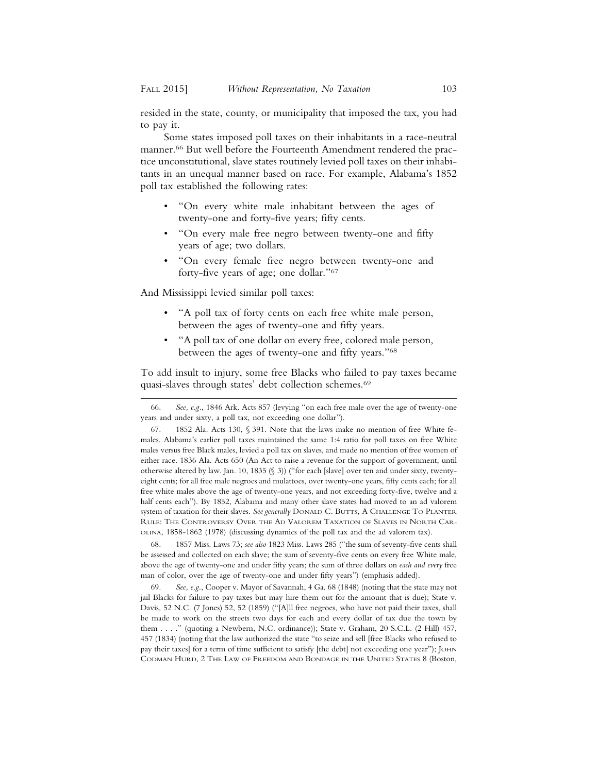resided in the state, county, or municipality that imposed the tax, you had to pay it.

Some states imposed poll taxes on their inhabitants in a race-neutral manner.<sup>66</sup> But well before the Fourteenth Amendment rendered the practice unconstitutional, slave states routinely levied poll taxes on their inhabitants in an unequal manner based on race. For example, Alabama's 1852 poll tax established the following rates:

- "On every white male inhabitant between the ages of twenty-one and forty-five years; fifty cents.
- "On every male free negro between twenty-one and fifty years of age; two dollars.
- "On every female free negro between twenty-one and forty-five years of age; one dollar."67

And Mississippi levied similar poll taxes:

- "A poll tax of forty cents on each free white male person, between the ages of twenty-one and fifty years.
- "A poll tax of one dollar on every free, colored male person, between the ages of twenty-one and fifty years."68

To add insult to injury, some free Blacks who failed to pay taxes became quasi-slaves through states' debt collection schemes.69

68. 1857 Miss. Laws 73; *see also* 1823 Miss. Laws 285 ("the sum of seventy-five cents shall be assessed and collected on each slave; the sum of seventy-five cents on every free White male, above the age of twenty-one and under fifty years; the sum of three dollars on *each and every* free man of color, over the age of twenty-one and under fifty years") (emphasis added).

69. *See, e.g.*, Cooper v. Mayor of Savannah, 4 Ga. 68 (1848) (noting that the state may not jail Blacks for failure to pay taxes but may hire them out for the amount that is due); State v. Davis, 52 N.C. (7 Jones) 52, 52 (1859) ("[A]ll free negroes, who have not paid their taxes, shall be made to work on the streets two days for each and every dollar of tax due the town by them . . . ." (quoting a Newbern, N.C. ordinance)); State v. Graham, 20 S.C.L. (2 Hill) 457, 457 (1834) (noting that the law authorized the state "to seize and sell [free Blacks who refused to pay their taxes] for a term of time sufficient to satisfy [the debt] not exceeding one year"); JOHN CODMAN HURD, 2 THE LAW OF FREEDOM AND BONDAGE IN THE UNITED STATES 8 (Boston,

<sup>66.</sup> *See, e.g.*, 1846 Ark. Acts 857 (levying "on each free male over the age of twenty-one years and under sixty, a poll tax, not exceeding one dollar").

<sup>67. 1852</sup> Ala. Acts 130, § 391. Note that the laws make no mention of free White females. Alabama's earlier poll taxes maintained the same 1:4 ratio for poll taxes on free White males versus free Black males, levied a poll tax on slaves, and made no mention of free women of either race. 1836 Ala. Acts 650 (An Act to raise a revenue for the support of government, until otherwise altered by law. Jan. 10, 1835 (§ 3)) ("for each [slave] over ten and under sixty, twentyeight cents; for all free male negroes and mulattoes, over twenty-one years, fifty cents each; for all free white males above the age of twenty-one years, and not exceeding forty-five, twelve and a half cents each"). By 1852, Alabama and many other slave states had moved to an ad valorem system of taxation for their slaves. *See generally* DONALD C. BUTTS, A CHALLENGE TO PLANTER RULE: THE CONTROVERSY OVER THE AD VALOREM TAXATION OF SLAVES IN NORTH CAR-OLINA, 1858-1862 (1978) (discussing dynamics of the poll tax and the ad valorem tax).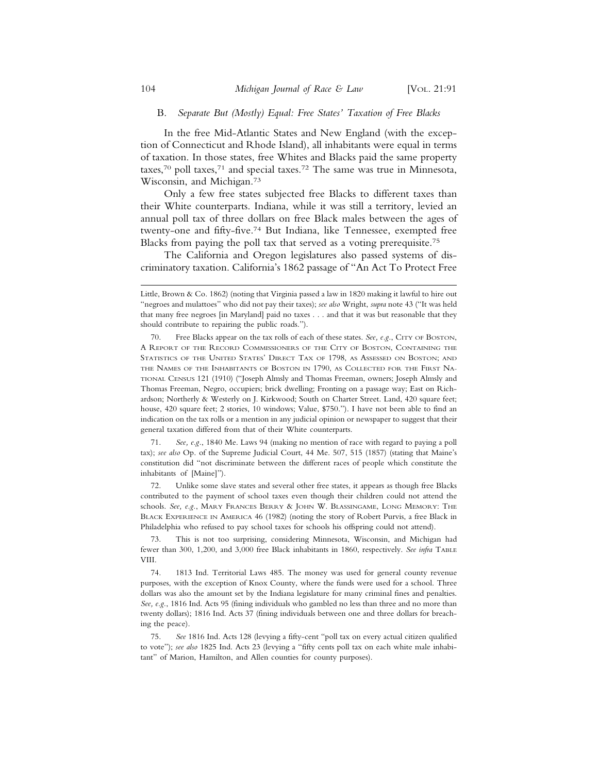#### B. *Separate But (Mostly) Equal: Free States' Taxation of Free Blacks*

In the free Mid-Atlantic States and New England (with the exception of Connecticut and Rhode Island), all inhabitants were equal in terms of taxation. In those states, free Whites and Blacks paid the same property taxes,<sup>70</sup> poll taxes,<sup>71</sup> and special taxes.<sup>72</sup> The same was true in Minnesota, Wisconsin, and Michigan.73

Only a few free states subjected free Blacks to different taxes than their White counterparts. Indiana, while it was still a territory, levied an annual poll tax of three dollars on free Black males between the ages of twenty-one and fifty-five.74 But Indiana, like Tennessee, exempted free Blacks from paying the poll tax that served as a voting prerequisite.75

The California and Oregon legislatures also passed systems of discriminatory taxation. California's 1862 passage of "An Act To Protect Free

71. *See, e.g.*, 1840 Me. Laws 94 (making no mention of race with regard to paying a poll tax); *see also* Op. of the Supreme Judicial Court, 44 Me. 507, 515 (1857) (stating that Maine's constitution did "not discriminate between the different races of people which constitute the inhabitants of [Maine]").

72. Unlike some slave states and several other free states, it appears as though free Blacks contributed to the payment of school taxes even though their children could not attend the schools. *See, e.g.*, MARY FRANCES BERRY & JOHN W. BLASSINGAME, LONG MEMORY: THE BLACK EXPERIENCE IN AMERICA 46 (1982) (noting the story of Robert Purvis, a free Black in Philadelphia who refused to pay school taxes for schools his offspring could not attend).

73. This is not too surprising, considering Minnesota, Wisconsin, and Michigan had fewer than 300, 1,200, and 3,000 free Black inhabitants in 1860, respectively. *See infra* TABLE VIII.

74. 1813 Ind. Territorial Laws 485. The money was used for general county revenue purposes, with the exception of Knox County, where the funds were used for a school. Three dollars was also the amount set by the Indiana legislature for many criminal fines and penalties. *See, e.g.*, 1816 Ind. Acts 95 (fining individuals who gambled no less than three and no more than twenty dollars); 1816 Ind. Acts 37 (fining individuals between one and three dollars for breaching the peace).

75. *See* 1816 Ind. Acts 128 (levying a fifty-cent "poll tax on every actual citizen qualified to vote"); *see also* 1825 Ind. Acts 23 (levying a "fifty cents poll tax on each white male inhabitant" of Marion, Hamilton, and Allen counties for county purposes).

Little, Brown & Co. 1862) (noting that Virginia passed a law in 1820 making it lawful to hire out "negroes and mulattoes" who did not pay their taxes); *see also* Wright, *supra* note 43 ("It was held that many free negroes [in Maryland] paid no taxes . . . and that it was but reasonable that they should contribute to repairing the public roads.").

<sup>70.</sup> Free Blacks appear on the tax rolls of each of these states. *See, e.g.*, CITY OF BOSTON, A REPORT OF THE RECORD COMMISSIONERS OF THE CITY OF BOSTON, CONTAINING THE STATISTICS OF THE UNITED STATES' DIRECT TAX OF 1798, AS ASSESSED ON BOSTON; AND THE NAMES OF THE INHABITANTS OF BOSTON IN 1790, AS COLLECTED FOR THE FIRST NA-TIONAL CENSUS 121 (1910) ("Joseph Almsly and Thomas Freeman, owners; Joseph Almsly and Thomas Freeman, Negro, occupiers; brick dwelling; Fronting on a passage way; East on Richardson; Northerly & Westerly on J. Kirkwood; South on Charter Street. Land, 420 square feet; house, 420 square feet; 2 stories, 10 windows; Value, \$750."). I have not been able to find an indication on the tax rolls or a mention in any judicial opinion or newspaper to suggest that their general taxation differed from that of their White counterparts.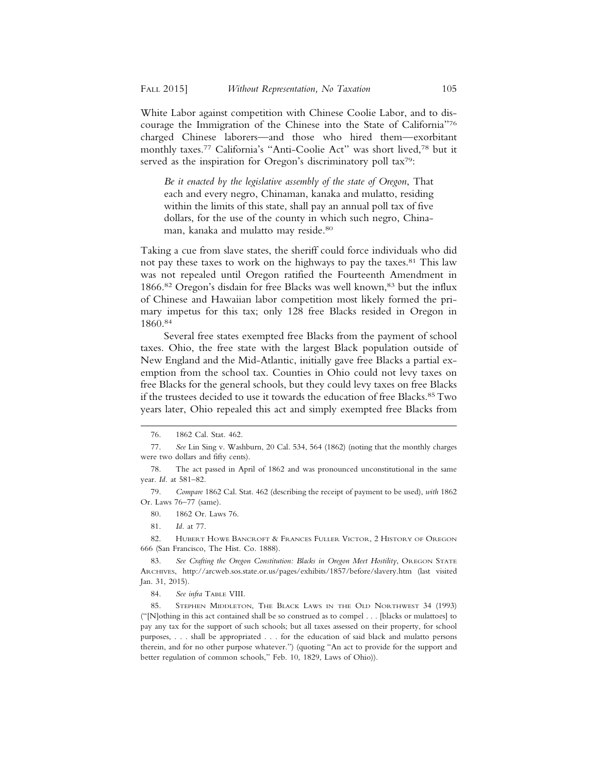White Labor against competition with Chinese Coolie Labor, and to discourage the Immigration of the Chinese into the State of California"76 charged Chinese laborers—and those who hired them—exorbitant monthly taxes.77 California's "Anti-Coolie Act" was short lived,78 but it served as the inspiration for Oregon's discriminatory poll tax<sup>79</sup>:

*Be it enacted by the legislative assembly of the state of Oregon*, That each and every negro, Chinaman, kanaka and mulatto, residing within the limits of this state, shall pay an annual poll tax of five dollars, for the use of the county in which such negro, Chinaman, kanaka and mulatto may reside.80

Taking a cue from slave states, the sheriff could force individuals who did not pay these taxes to work on the highways to pay the taxes.<sup>81</sup> This law was not repealed until Oregon ratified the Fourteenth Amendment in 1866.<sup>82</sup> Oregon's disdain for free Blacks was well known,<sup>83</sup> but the influx of Chinese and Hawaiian labor competition most likely formed the primary impetus for this tax; only 128 free Blacks resided in Oregon in 1860.84

Several free states exempted free Blacks from the payment of school taxes. Ohio, the free state with the largest Black population outside of New England and the Mid-Atlantic, initially gave free Blacks a partial exemption from the school tax. Counties in Ohio could not levy taxes on free Blacks for the general schools, but they could levy taxes on free Blacks if the trustees decided to use it towards the education of free Blacks.85 Two years later, Ohio repealed this act and simply exempted free Blacks from

84. *See infra* TABLE VIII.

<sup>76. 1862</sup> Cal. Stat. 462.

<sup>77.</sup> *See* Lin Sing v. Washburn, 20 Cal. 534, 564 (1862) (noting that the monthly charges were two dollars and fifty cents).

<sup>78.</sup> The act passed in April of 1862 and was pronounced unconstitutional in the same year. *Id.* at 581–82.

<sup>79.</sup> *Compare* 1862 Cal. Stat. 462 (describing the receipt of payment to be used), *with* 1862 Or. Laws 76–77 (same).

<sup>80. 1862</sup> Or. Laws 76.

<sup>81.</sup> *Id.* at 77.

<sup>82.</sup> HUBERT HOWE BANCROFT & FRANCES FULLER VICTOR, 2 HISTORY OF OREGON 666 (San Francisco, The Hist. Co. 1888).

<sup>83.</sup> *See Crafting the Oregon Constitution: Blacks in Oregon Meet Hostility*, OREGON STATE ARCHIVES, http://arcweb.sos.state.or.us/pages/exhibits/1857/before/slavery.htm (last visited Jan. 31, 2015).

<sup>85.</sup> STEPHEN MIDDLETON, THE BLACK LAWS IN THE OLD NORTHWEST 34 (1993) ("[N]othing in this act contained shall be so construed as to compel . . . [blacks or mulattoes] to pay any tax for the support of such schools; but all taxes assessed on their property, for school purposes, . . . shall be appropriated . . . for the education of said black and mulatto persons therein, and for no other purpose whatever.") (quoting "An act to provide for the support and better regulation of common schools," Feb. 10, 1829, Laws of Ohio)).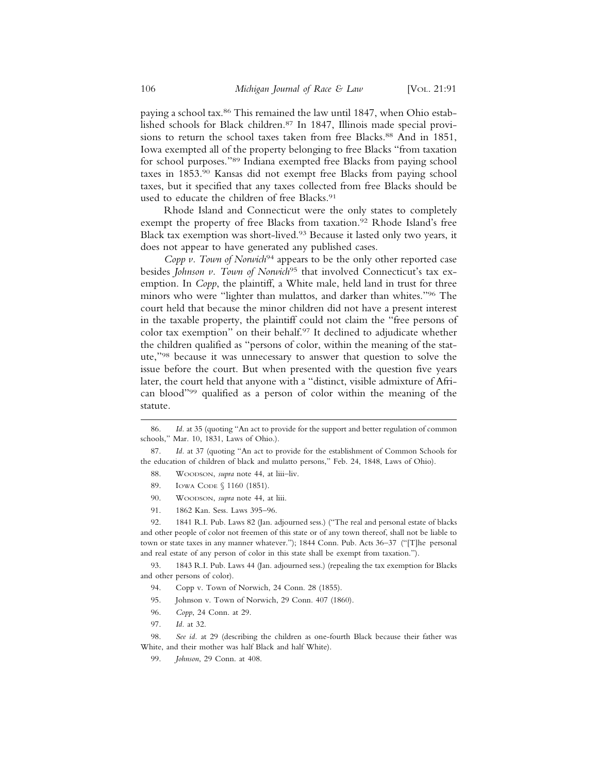paying a school tax.<sup>86</sup> This remained the law until 1847, when Ohio established schools for Black children.87 In 1847, Illinois made special provisions to return the school taxes taken from free Blacks.<sup>88</sup> And in 1851, Iowa exempted all of the property belonging to free Blacks "from taxation for school purposes."89 Indiana exempted free Blacks from paying school taxes in 1853.90 Kansas did not exempt free Blacks from paying school taxes, but it specified that any taxes collected from free Blacks should be used to educate the children of free Blacks.<sup>91</sup>

Rhode Island and Connecticut were the only states to completely exempt the property of free Blacks from taxation.<sup>92</sup> Rhode Island's free Black tax exemption was short-lived.93 Because it lasted only two years, it does not appear to have generated any published cases.

*Copp v. Town of Norwich*<sup>94</sup> appears to be the only other reported case besides *Johnson v. Town of Norwich*<sup>95</sup> that involved Connecticut's tax exemption. In *Copp*, the plaintiff, a White male, held land in trust for three minors who were "lighter than mulattos, and darker than whites."96 The court held that because the minor children did not have a present interest in the taxable property, the plaintiff could not claim the "free persons of color tax exemption" on their behalf.97 It declined to adjudicate whether the children qualified as "persons of color, within the meaning of the statute,"98 because it was unnecessary to answer that question to solve the issue before the court. But when presented with the question five years later, the court held that anyone with a "distinct, visible admixture of African blood"99 qualified as a person of color within the meaning of the statute.

- 88. WOODSON, *supra* note 44, at liii-liv.
- 89. IOWA CODE § 1160 (1851).
- 90. WOODSON, *supra* note 44, at liii.
- 91. 1862 Kan. Sess. Laws 395–96.

92. 1841 R.I. Pub. Laws 82 (Jan. adjourned sess.) ("The real and personal estate of blacks and other people of color not freemen of this state or of any town thereof, shall not be liable to town or state taxes in any manner whatever."); 1844 Conn. Pub. Acts 36–37 ("[T]he personal and real estate of any person of color in this state shall be exempt from taxation.").

93. 1843 R.I. Pub. Laws 44 (Jan. adjourned sess.) (repealing the tax exemption for Blacks and other persons of color).

- 94. Copp v. Town of Norwich, 24 Conn. 28 (1855).
- 95. Johnson v. Town of Norwich, 29 Conn. 407 (1860).
- 96. *Copp*, 24 Conn. at 29.
- 97. *Id.* at 32.

98. *See id.* at 29 (describing the children as one-fourth Black because their father was White, and their mother was half Black and half White).

99. *Johnson*, 29 Conn. at 408.

<sup>86.</sup> *Id.* at 35 (quoting "An act to provide for the support and better regulation of common schools," Mar. 10, 1831, Laws of Ohio.).

<sup>87.</sup> *Id.* at 37 (quoting "An act to provide for the establishment of Common Schools for the education of children of black and mulatto persons," Feb. 24, 1848, Laws of Ohio).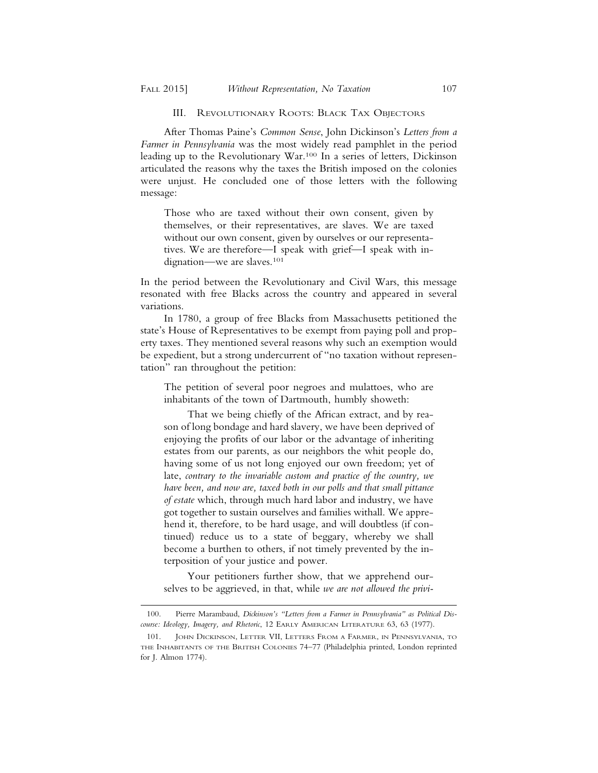#### III. REVOLUTIONARY ROOTS: BLACK TAX OBJECTORS

After Thomas Paine's *Common Sense*, John Dickinson's *Letters from a Farmer in Pennsylvania* was the most widely read pamphlet in the period leading up to the Revolutionary War.100 In a series of letters, Dickinson articulated the reasons why the taxes the British imposed on the colonies were unjust. He concluded one of those letters with the following message:

Those who are taxed without their own consent, given by themselves, or their representatives, are slaves. We are taxed without our own consent, given by ourselves or our representatives. We are therefore—I speak with grief—I speak with indignation—we are slaves.101

In the period between the Revolutionary and Civil Wars, this message resonated with free Blacks across the country and appeared in several variations.

In 1780, a group of free Blacks from Massachusetts petitioned the state's House of Representatives to be exempt from paying poll and property taxes. They mentioned several reasons why such an exemption would be expedient, but a strong undercurrent of "no taxation without representation" ran throughout the petition:

The petition of several poor negroes and mulattoes, who are inhabitants of the town of Dartmouth, humbly showeth:

That we being chiefly of the African extract, and by reason of long bondage and hard slavery, we have been deprived of enjoying the profits of our labor or the advantage of inheriting estates from our parents, as our neighbors the whit people do, having some of us not long enjoyed our own freedom; yet of late, *contrary to the invariable custom and practice of the country, we have been, and now are, taxed both in our polls and that small pittance of estate* which, through much hard labor and industry, we have got together to sustain ourselves and families withall. We apprehend it, therefore, to be hard usage, and will doubtless (if continued) reduce us to a state of beggary, whereby we shall become a burthen to others, if not timely prevented by the interposition of your justice and power.

Your petitioners further show, that we apprehend ourselves to be aggrieved, in that, while *we are not allowed the privi-*

<sup>100.</sup> Pierre Marambaud, *Dickinson's "Letters from a Farmer in Pennsylvania" as Political Discourse: Ideology, Imagery, and Rhetoric*, 12 EARLY AMERICAN LITERATURE 63, 63 (1977).

<sup>101.</sup> JOHN DICKINSON, LETTER VII, LETTERS FROM A FARMER, IN PENNSYLVANIA, TO THE INHABITANTS OF THE BRITISH COLONIES 74–77 (Philadelphia printed, London reprinted for J. Almon 1774).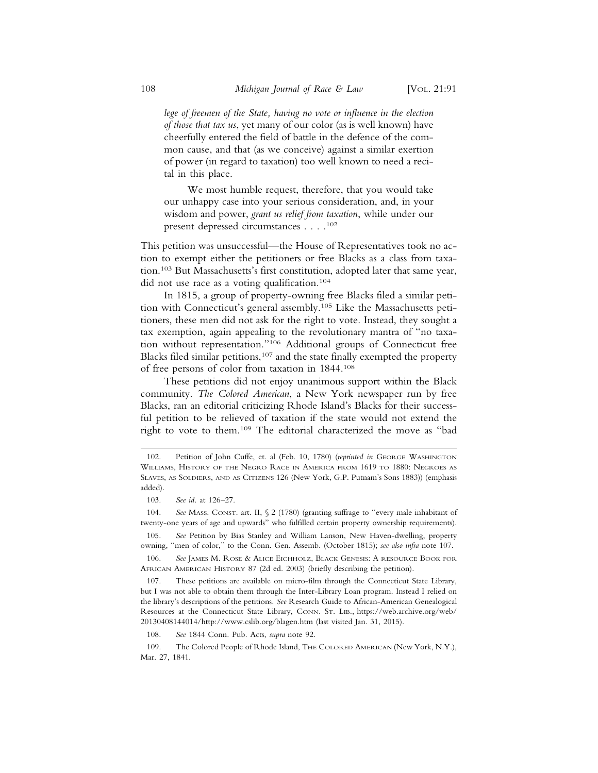*lege of freemen of the State, having no vote or influence in the election of those that tax us*, yet many of our color (as is well known) have cheerfully entered the field of battle in the defence of the common cause, and that (as we conceive) against a similar exertion of power (in regard to taxation) too well known to need a recital in this place.

We most humble request, therefore, that you would take our unhappy case into your serious consideration, and, in your wisdom and power, *grant us relief from taxation*, while under our present depressed circumstances . . . .102

This petition was unsuccessful—the House of Representatives took no action to exempt either the petitioners or free Blacks as a class from taxation.103 But Massachusetts's first constitution, adopted later that same year, did not use race as a voting qualification.104

In 1815, a group of property-owning free Blacks filed a similar petition with Connecticut's general assembly.105 Like the Massachusetts petitioners, these men did not ask for the right to vote. Instead, they sought a tax exemption, again appealing to the revolutionary mantra of "no taxation without representation."106 Additional groups of Connecticut free Blacks filed similar petitions,<sup>107</sup> and the state finally exempted the property of free persons of color from taxation in 1844.108

These petitions did not enjoy unanimous support within the Black community. *The Colored American*, a New York newspaper run by free Blacks, ran an editorial criticizing Rhode Island's Blacks for their successful petition to be relieved of taxation if the state would not extend the right to vote to them.109 The editorial characterized the move as "bad

104. *See* MASS. CONST. art. II, § 2 (1780) (granting suffrage to "every male inhabitant of twenty-one years of age and upwards" who fulfilled certain property ownership requirements).

105. *See* Petition by Bias Stanley and William Lanson, New Haven-dwelling, property owning, "men of color," to the Conn. Gen. Assemb. (October 1815); *see also infra* note 107.

106. *See* JAMES M. ROSE & ALICE EICHHOLZ, BLACK GENESIS: A RESOURCE BOOK FOR AFRICAN AMERICAN HISTORY 87 (2d ed. 2003) (briefly describing the petition).

107. These petitions are available on micro-film through the Connecticut State Library, but I was not able to obtain them through the Inter-Library Loan program. Instead I relied on the library's descriptions of the petitions. *See* Research Guide to African-American Genealogical Resources at the Connecticut State Library, CONN. ST. LIB., https://web.archive.org/web/ 20130408144014/http://www.cslib.org/blagen.htm (last visited Jan. 31, 2015).

108. *See* 1844 Conn. Pub. Acts, *supra* note 92.

109. The Colored People of Rhode Island, THE COLORED AMERICAN (New York, N.Y.), Mar. 27, 1841.

<sup>102.</sup> Petition of John Cuffe, et. al (Feb. 10, 1780) (*reprinted in* GEORGE WASHINGTON WILLIAMS, HISTORY OF THE NEGRO RACE IN AMERICA FROM 1619 TO 1880: NEGROES AS SLAVES, AS SOLDIERS, AND AS CITIZENS 126 (New York, G.P. Putnam's Sons 1883)) (emphasis added).

<sup>103.</sup> *See id.* at 126–27.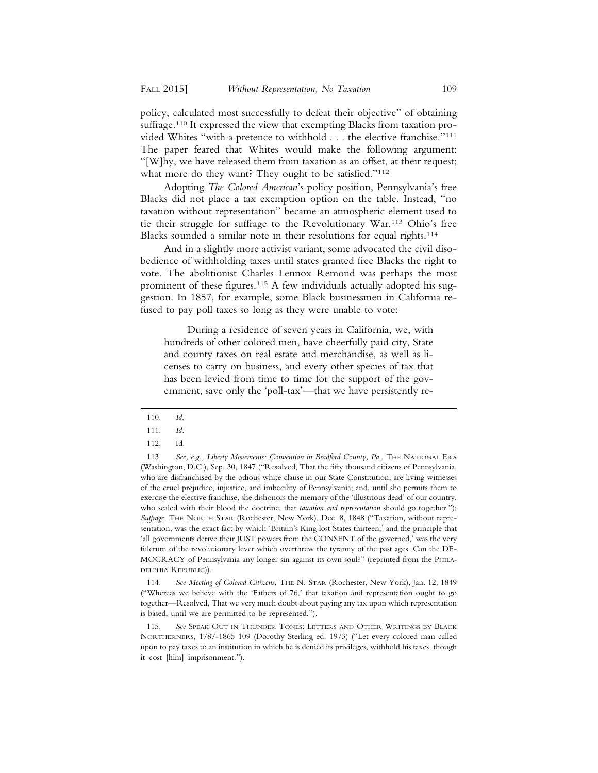policy, calculated most successfully to defeat their objective" of obtaining suffrage.<sup>110</sup> It expressed the view that exempting Blacks from taxation provided Whites "with a pretence to withhold . . . the elective franchise."111 The paper feared that Whites would make the following argument: "[W]hy, we have released them from taxation as an offset, at their request; what more do they want? They ought to be satisfied."<sup>112</sup>

Adopting *The Colored American*'s policy position, Pennsylvania's free Blacks did not place a tax exemption option on the table. Instead, "no taxation without representation" became an atmospheric element used to tie their struggle for suffrage to the Revolutionary War.113 Ohio's free Blacks sounded a similar note in their resolutions for equal rights.<sup>114</sup>

And in a slightly more activist variant, some advocated the civil disobedience of withholding taxes until states granted free Blacks the right to vote. The abolitionist Charles Lennox Remond was perhaps the most prominent of these figures.<sup>115</sup> A few individuals actually adopted his suggestion. In 1857, for example, some Black businessmen in California refused to pay poll taxes so long as they were unable to vote:

During a residence of seven years in California, we, with hundreds of other colored men, have cheerfully paid city, State and county taxes on real estate and merchandise, as well as licenses to carry on business, and every other species of tax that has been levied from time to time for the support of the government, save only the 'poll-tax'—that we have persistently re-

114. *See Meeting of Colored Citizens*, THE N. STAR (Rochester, New York), Jan. 12, 1849 ("Whereas we believe with the 'Fathers of 76,' that taxation and representation ought to go together—Resolved, That we very much doubt about paying any tax upon which representation is based, until we are permitted to be represented.").

115. *See* SPEAK OUT IN THUNDER TONES: LETTERS AND OTHER WRITINGS BY BLACK NORTHERNERS, 1787-1865 109 (Dorothy Sterling ed. 1973) ("Let every colored man called upon to pay taxes to an institution in which he is denied its privileges, withhold his taxes, though it cost [him] imprisonment.").

<sup>110.</sup> *Id*.

<sup>111.</sup> *Id.*

<sup>112.</sup> Id.

<sup>113.</sup> *See, e.g., Liberty Movements: Convention in Bradford County, Pa.*, THE NATIONAL ERA (Washington, D.C.), Sep. 30, 1847 ("Resolved, That the fifty thousand citizens of Pennsylvania, who are disfranchised by the odious white clause in our State Constitution, are living witnesses of the cruel prejudice, injustice, and imbecility of Pennsylvania; and, until she permits them to exercise the elective franchise, she dishonors the memory of the 'illustrious dead' of our country, who sealed with their blood the doctrine, that *taxation and representation* should go together."); *Suffrage*, THE NORTH STAR (Rochester, New York), Dec. 8, 1848 ("Taxation, without representation, was the exact fact by which 'Britain's King lost States thirteen;' and the principle that 'all governments derive their JUST powers from the CONSENT of the governed,' was the very fulcrum of the revolutionary lever which overthrew the tyranny of the past ages. Can the DE-MOCRACY of Pennsylvania any longer sin against its own soul?" (reprinted from the PHILA-DELPHIA REPUBLIC)).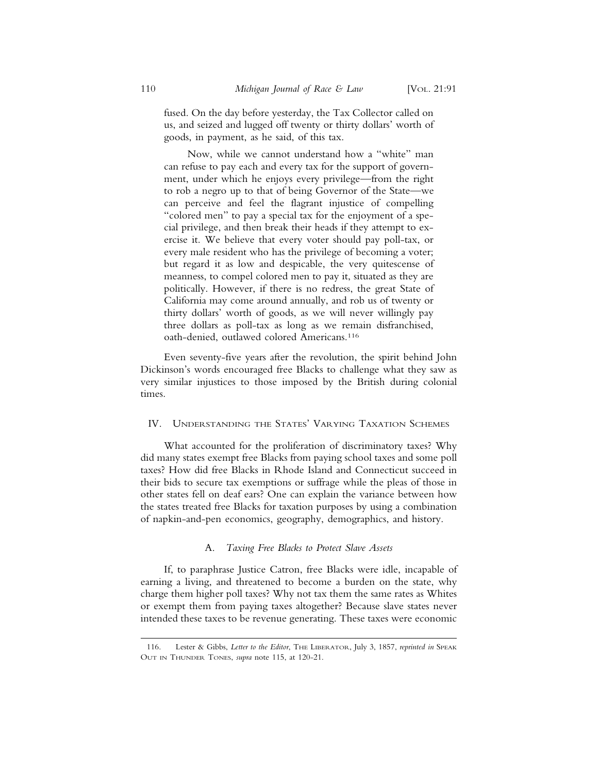fused. On the day before yesterday, the Tax Collector called on us, and seized and lugged off twenty or thirty dollars' worth of goods, in payment, as he said, of this tax.

Now, while we cannot understand how a "white" man can refuse to pay each and every tax for the support of government, under which he enjoys every privilege—from the right to rob a negro up to that of being Governor of the State—we can perceive and feel the flagrant injustice of compelling "colored men" to pay a special tax for the enjoyment of a special privilege, and then break their heads if they attempt to exercise it. We believe that every voter should pay poll-tax, or every male resident who has the privilege of becoming a voter; but regard it as low and despicable, the very quitescense of meanness, to compel colored men to pay it, situated as they are politically. However, if there is no redress, the great State of California may come around annually, and rob us of twenty or thirty dollars' worth of goods, as we will never willingly pay three dollars as poll-tax as long as we remain disfranchised, oath-denied, outlawed colored Americans.116

Even seventy-five years after the revolution, the spirit behind John Dickinson's words encouraged free Blacks to challenge what they saw as very similar injustices to those imposed by the British during colonial times.

## IV. UNDERSTANDING THE STATES' VARYING TAXATION SCHEMES

What accounted for the proliferation of discriminatory taxes? Why did many states exempt free Blacks from paying school taxes and some poll taxes? How did free Blacks in Rhode Island and Connecticut succeed in their bids to secure tax exemptions or suffrage while the pleas of those in other states fell on deaf ears? One can explain the variance between how the states treated free Blacks for taxation purposes by using a combination of napkin-and-pen economics, geography, demographics, and history.

#### A. *Taxing Free Blacks to Protect Slave Assets*

If, to paraphrase Justice Catron, free Blacks were idle, incapable of earning a living, and threatened to become a burden on the state, why charge them higher poll taxes? Why not tax them the same rates as Whites or exempt them from paying taxes altogether? Because slave states never intended these taxes to be revenue generating. These taxes were economic

<sup>116.</sup> Lester & Gibbs, *Letter to the Editor*, THE LIBERATOR, July 3, 1857, *reprinted in* SPEAK OUT IN THUNDER TONES, *supra* note 115, at 120-21.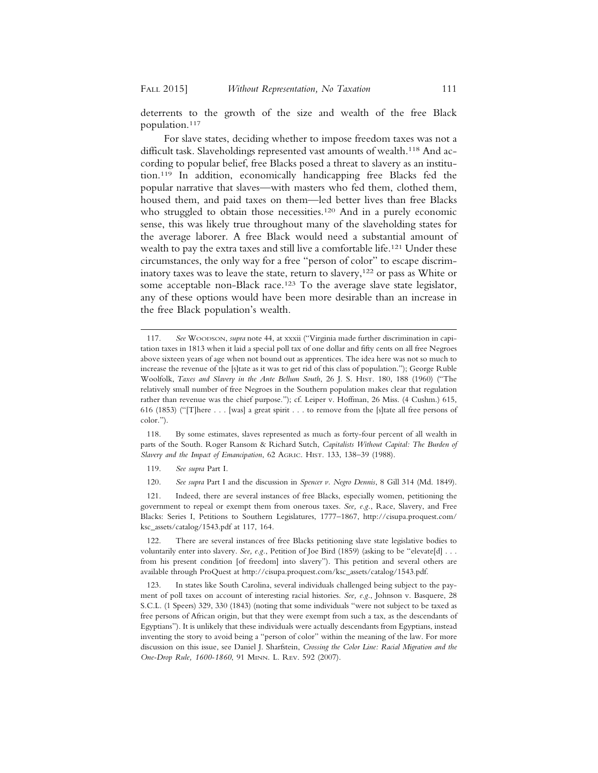deterrents to the growth of the size and wealth of the free Black population.117

For slave states, deciding whether to impose freedom taxes was not a difficult task. Slaveholdings represented vast amounts of wealth.<sup>118</sup> And according to popular belief, free Blacks posed a threat to slavery as an institution.119 In addition, economically handicapping free Blacks fed the popular narrative that slaves—with masters who fed them, clothed them, housed them, and paid taxes on them—led better lives than free Blacks who struggled to obtain those necessities.<sup>120</sup> And in a purely economic sense, this was likely true throughout many of the slaveholding states for the average laborer. A free Black would need a substantial amount of wealth to pay the extra taxes and still live a comfortable life.121 Under these circumstances, the only way for a free "person of color" to escape discriminatory taxes was to leave the state, return to slavery,<sup>122</sup> or pass as White or some acceptable non-Black race.<sup>123</sup> To the average slave state legislator, any of these options would have been more desirable than an increase in the free Black population's wealth.

118. By some estimates, slaves represented as much as forty-four percent of all wealth in parts of the South. Roger Ransom & Richard Sutch, *Capitalists Without Capital: The Burden of Slavery and the Impact of Emancipation*, 62 AGRIC. HIST. 133, 138–39 (1988).

119. *See supra* Part I.

120. *See supra* Part I and the discussion in *Spencer v. Negro Dennis*, 8 Gill 314 (Md. 1849).

121. Indeed, there are several instances of free Blacks, especially women, petitioning the government to repeal or exempt them from onerous taxes. *See, e.g.*, Race, Slavery, and Free Blacks: Series I, Petitions to Southern Legislatures, 1777–1867, http://cisupa.proquest.com/ ksc\_assets/catalog/1543.pdf at 117, 164.

122. There are several instances of free Blacks petitioning slave state legislative bodies to voluntarily enter into slavery. *See, e.g.*, Petition of Joe Bird (1859) (asking to be "elevate[d] . . . from his present condition [of freedom] into slavery"). This petition and several others are available through ProQuest at http://cisupa.proquest.com/ksc\_assets/catalog/1543.pdf.

123. In states like South Carolina, several individuals challenged being subject to the payment of poll taxes on account of interesting racial histories. *See, e.g.*, Johnson v. Basquere, 28 S.C.L. (1 Speers) 329, 330 (1843) (noting that some individuals "were not subject to be taxed as free persons of African origin, but that they were exempt from such a tax, as the descendants of Egyptians"). It is unlikely that these individuals were actually descendants from Egyptians, instead inventing the story to avoid being a "person of color" within the meaning of the law. For more discussion on this issue, see Daniel J. Sharfstein, *Crossing the Color Line: Racial Migration and the One-Drop Rule, 1600-1860*, 91 MINN. L. REV. 592 (2007).

<sup>117.</sup> *See* WOODSON, *supra* note 44, at xxxii ("Virginia made further discrimination in capitation taxes in 1813 when it laid a special poll tax of one dollar and fifty cents on all free Negroes above sixteen years of age when not bound out as apprentices. The idea here was not so much to increase the revenue of the [s]tate as it was to get rid of this class of population."); George Ruble Woolfolk, *Taxes and Slavery in the Ante Bellum South*, 26 J. S. HIST. 180, 188 (1960) ("The relatively small number of free Negroes in the Southern population makes clear that regulation rather than revenue was the chief purpose."); cf. Leiper v. Hoffman, 26 Miss. (4 Cushm.) 615, 616 (1853) ("[T]here . . . [was] a great spirit . . . to remove from the [s]tate all free persons of color.").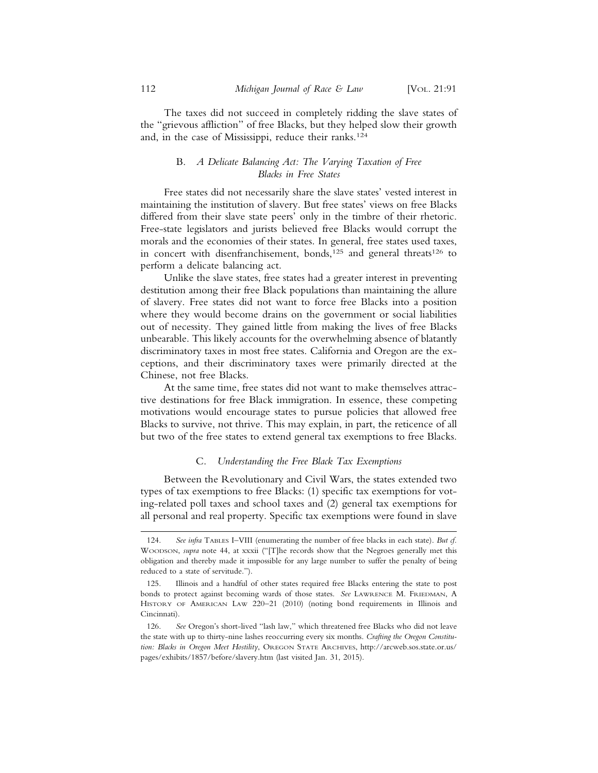The taxes did not succeed in completely ridding the slave states of the "grievous affliction" of free Blacks, but they helped slow their growth and, in the case of Mississippi, reduce their ranks.124

## B. *A Delicate Balancing Act: The Varying Taxation of Free Blacks in Free States*

Free states did not necessarily share the slave states' vested interest in maintaining the institution of slavery. But free states' views on free Blacks differed from their slave state peers' only in the timbre of their rhetoric. Free-state legislators and jurists believed free Blacks would corrupt the morals and the economies of their states. In general, free states used taxes, in concert with disenfranchisement, bonds,<sup>125</sup> and general threats<sup>126</sup> to perform a delicate balancing act.

Unlike the slave states, free states had a greater interest in preventing destitution among their free Black populations than maintaining the allure of slavery. Free states did not want to force free Blacks into a position where they would become drains on the government or social liabilities out of necessity. They gained little from making the lives of free Blacks unbearable. This likely accounts for the overwhelming absence of blatantly discriminatory taxes in most free states. California and Oregon are the exceptions, and their discriminatory taxes were primarily directed at the Chinese, not free Blacks.

At the same time, free states did not want to make themselves attractive destinations for free Black immigration. In essence, these competing motivations would encourage states to pursue policies that allowed free Blacks to survive, not thrive. This may explain, in part, the reticence of all but two of the free states to extend general tax exemptions to free Blacks.

#### C. *Understanding the Free Black Tax Exemptions*

Between the Revolutionary and Civil Wars, the states extended two types of tax exemptions to free Blacks: (1) specific tax exemptions for voting-related poll taxes and school taxes and (2) general tax exemptions for all personal and real property. Specific tax exemptions were found in slave

<sup>124.</sup> *See infra* TABLES I–VIII (enumerating the number of free blacks in each state). *But cf.* WOODSON, *supra* note 44, at xxxii ("[T]he records show that the Negroes generally met this obligation and thereby made it impossible for any large number to suffer the penalty of being reduced to a state of servitude.").

<sup>125.</sup> Illinois and a handful of other states required free Blacks entering the state to post bonds to protect against becoming wards of those states. *See* LAWRENCE M. FRIEDMAN, A HISTORY OF AMERICAN LAW 220–21 (2010) (noting bond requirements in Illinois and Cincinnati).

<sup>126.</sup> *See* Oregon's short-lived "lash law," which threatened free Blacks who did not leave the state with up to thirty-nine lashes reoccurring every six months. *Crafting the Oregon Constitution: Blacks in Oregon Meet Hostility*, OREGON STATE ARCHIVES, http://arcweb.sos.state.or.us/ pages/exhibits/1857/before/slavery.htm (last visited Jan. 31, 2015).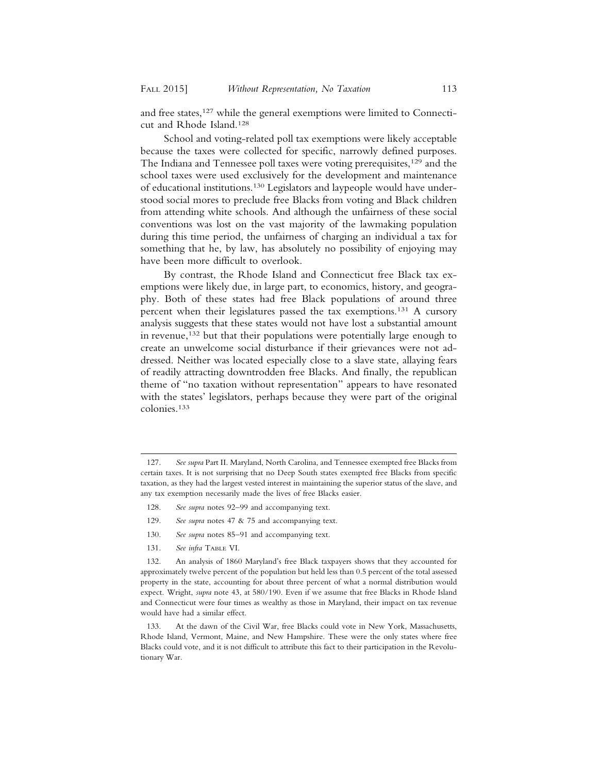and free states,<sup>127</sup> while the general exemptions were limited to Connecticut and Rhode Island.128

School and voting-related poll tax exemptions were likely acceptable because the taxes were collected for specific, narrowly defined purposes. The Indiana and Tennessee poll taxes were voting prerequisites,<sup>129</sup> and the school taxes were used exclusively for the development and maintenance of educational institutions.130 Legislators and laypeople would have understood social mores to preclude free Blacks from voting and Black children from attending white schools. And although the unfairness of these social conventions was lost on the vast majority of the lawmaking population during this time period, the unfairness of charging an individual a tax for something that he, by law, has absolutely no possibility of enjoying may have been more difficult to overlook.

By contrast, the Rhode Island and Connecticut free Black tax exemptions were likely due, in large part, to economics, history, and geography. Both of these states had free Black populations of around three percent when their legislatures passed the tax exemptions.131 A cursory analysis suggests that these states would not have lost a substantial amount in revenue,<sup>132</sup> but that their populations were potentially large enough to create an unwelcome social disturbance if their grievances were not addressed. Neither was located especially close to a slave state, allaying fears of readily attracting downtrodden free Blacks. And finally, the republican theme of "no taxation without representation" appears to have resonated with the states' legislators, perhaps because they were part of the original colonies.133

- 128. *See supra* notes 92–99 and accompanying text.
- 129. *See supra* notes 47 & 75 and accompanying text.
- 130. *See supra* notes 85–91 and accompanying text.
- 131. *See infra* TABLE VI.

132. An analysis of 1860 Maryland's free Black taxpayers shows that they accounted for approximately twelve percent of the population but held less than 0.5 percent of the total assessed property in the state, accounting for about three percent of what a normal distribution would expect. Wright, *supra* note 43, at 580/190. Even if we assume that free Blacks in Rhode Island and Connecticut were four times as wealthy as those in Maryland, their impact on tax revenue would have had a similar effect.

133. At the dawn of the Civil War, free Blacks could vote in New York, Massachusetts, Rhode Island, Vermont, Maine, and New Hampshire. These were the only states where free Blacks could vote, and it is not difficult to attribute this fact to their participation in the Revolutionary War.

<sup>127.</sup> *See supra* Part II. Maryland, North Carolina, and Tennessee exempted free Blacks from certain taxes. It is not surprising that no Deep South states exempted free Blacks from specific taxation, as they had the largest vested interest in maintaining the superior status of the slave, and any tax exemption necessarily made the lives of free Blacks easier.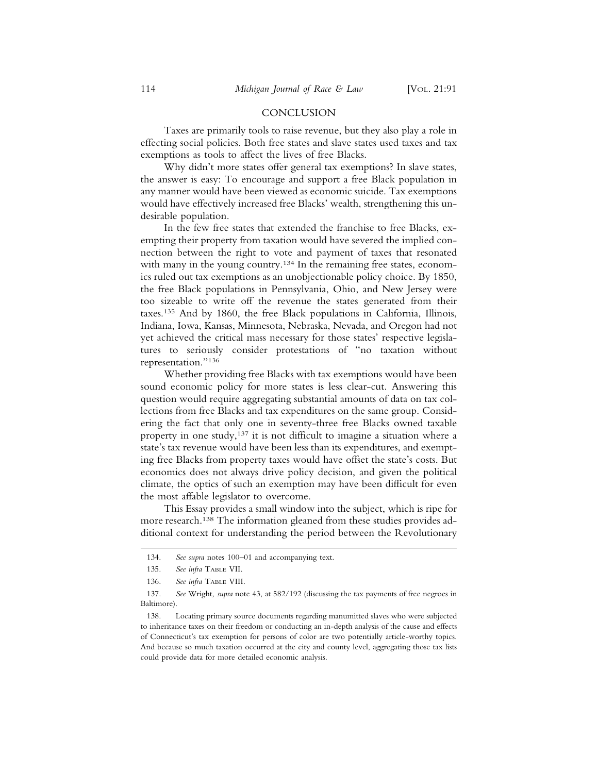#### CONCLUSION

Taxes are primarily tools to raise revenue, but they also play a role in effecting social policies. Both free states and slave states used taxes and tax exemptions as tools to affect the lives of free Blacks.

Why didn't more states offer general tax exemptions? In slave states, the answer is easy: To encourage and support a free Black population in any manner would have been viewed as economic suicide. Tax exemptions would have effectively increased free Blacks' wealth, strengthening this undesirable population.

In the few free states that extended the franchise to free Blacks, exempting their property from taxation would have severed the implied connection between the right to vote and payment of taxes that resonated with many in the young country.<sup>134</sup> In the remaining free states, economics ruled out tax exemptions as an unobjectionable policy choice. By 1850, the free Black populations in Pennsylvania, Ohio, and New Jersey were too sizeable to write off the revenue the states generated from their taxes.135 And by 1860, the free Black populations in California, Illinois, Indiana, Iowa, Kansas, Minnesota, Nebraska, Nevada, and Oregon had not yet achieved the critical mass necessary for those states' respective legislatures to seriously consider protestations of "no taxation without representation."136

Whether providing free Blacks with tax exemptions would have been sound economic policy for more states is less clear-cut. Answering this question would require aggregating substantial amounts of data on tax collections from free Blacks and tax expenditures on the same group. Considering the fact that only one in seventy-three free Blacks owned taxable property in one study,137 it is not difficult to imagine a situation where a state's tax revenue would have been less than its expenditures, and exempting free Blacks from property taxes would have offset the state's costs. But economics does not always drive policy decision, and given the political climate, the optics of such an exemption may have been difficult for even the most affable legislator to overcome.

This Essay provides a small window into the subject, which is ripe for more research.138 The information gleaned from these studies provides additional context for understanding the period between the Revolutionary

<sup>134.</sup> *See supra* notes 100–01 and accompanying text.

<sup>135.</sup> *See infra* TABLE VII.

<sup>136.</sup> *See infra* TABLE VIII.

<sup>137.</sup> *See* Wright, *supra* note 43, at 582/192 (discussing the tax payments of free negroes in Baltimore).

<sup>138.</sup> Locating primary source documents regarding manumitted slaves who were subjected to inheritance taxes on their freedom or conducting an in-depth analysis of the cause and effects of Connecticut's tax exemption for persons of color are two potentially article-worthy topics. And because so much taxation occurred at the city and county level, aggregating those tax lists could provide data for more detailed economic analysis.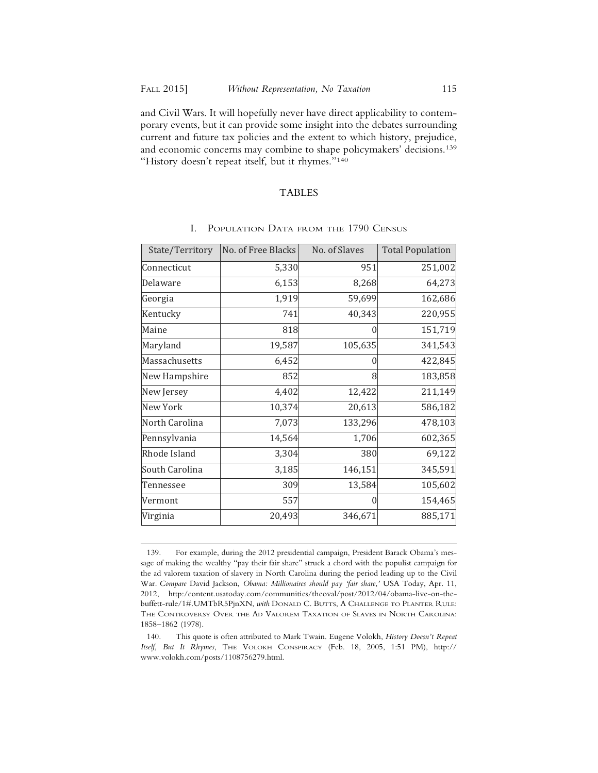and Civil Wars. It will hopefully never have direct applicability to contemporary events, but it can provide some insight into the debates surrounding current and future tax policies and the extent to which history, prejudice, and economic concerns may combine to shape policymakers' decisions.139 "History doesn't repeat itself, but it rhymes."<sup>140</sup>

#### TABLES

| State/Territory | No. of Free Blacks | No. of Slaves | <b>Total Population</b> |
|-----------------|--------------------|---------------|-------------------------|
| Connecticut     | 5,330              | 951           | 251,002                 |
| Delaware        | 6,153              | 8,268         | 64,273                  |
| Georgia         | 1,919              | 59,699        | 162,686                 |
| Kentucky        | 741                | 40,343        | 220,955                 |
| Maine           | 818                | O             | 151,719                 |
| Maryland        | 19,587             | 105,635       | 341,543                 |
| Massachusetts   | 6,452              |               | 422,845                 |
| New Hampshire   | 852                | 8             | 183,858                 |
| New Jersey      | 4,402              | 12,422        | 211,149                 |
| <b>New York</b> | 10,374             | 20,613        | 586,182                 |
| North Carolina  | 7,073              | 133,296       | 478,103                 |
| Pennsylvania    | 14,564             | 1,706         | 602,365                 |
| Rhode Island    | 3,304              | 380           | 69,122                  |
| South Carolina  | 3,185              | 146,151       | 345,591                 |
| Tennessee       | 309                | 13,584        | 105,602                 |
| Vermont         | 557                |               | 154,465                 |
| Virginia        | 20,493             | 346,671       | 885,171                 |

## I. POPULATION DATA FROM THE 1790 CENSUS

<sup>139.</sup> For example, during the 2012 presidential campaign, President Barack Obama's message of making the wealthy "pay their fair share" struck a chord with the populist campaign for the ad valorem taxation of slavery in North Carolina during the period leading up to the Civil War. *Compare* David Jackson, *Obama: Millionaires should pay 'fair share*,*'* USA Today, Apr. 11, 2012, http:/content.usatoday.com/communities/theoval/post/2012/04/obama-live-on-thebuffett-rule/1#.UMTbR5PjnXN, *with* DONALD C. BUTTS, A CHALLENGE TO PLANTER RULE: THE CONTROVERSY OVER THE AD VALOREM TAXATION OF SLAVES IN NORTH CAROLINA: 1858–1862 (1978).

<sup>140.</sup> This quote is often attributed to Mark Twain. Eugene Volokh, *History Doesn't Repeat Itself, But It Rhymes*, THE VOLOKH CONSPIRACY (Feb. 18, 2005, 1:51 PM), http:// www.volokh.com/posts/1108756279.html.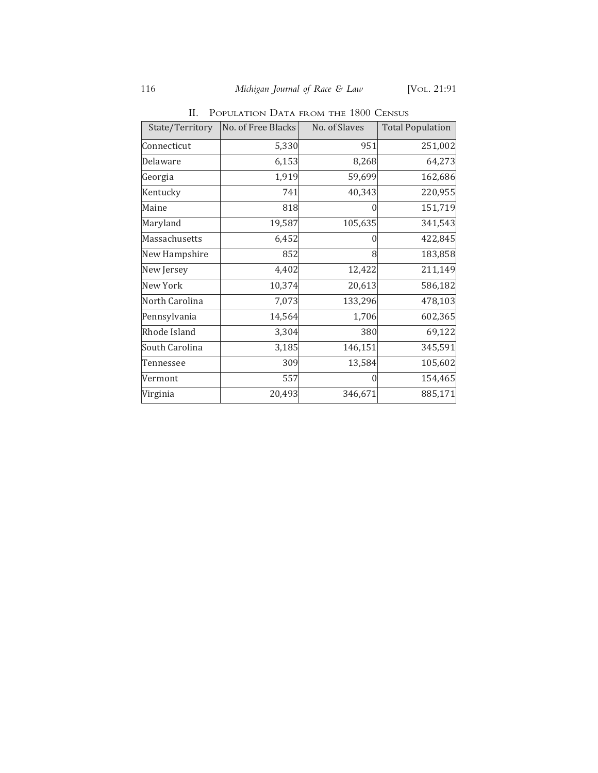| State/Territory | No. of Free Blacks | No. of Slaves | <b>Total Population</b> |
|-----------------|--------------------|---------------|-------------------------|
| Connecticut     | 5,330              | 951           | 251,002                 |
| Delaware        | 6,153              | 8,268         | 64,273                  |
| Georgia         | 1,919              | 59,699        | 162,686                 |
| Kentucky        | 741                | 40,343        | 220,955                 |
| Maine           | 818                |               | 151,719                 |
| Maryland        | 19,587             | 105,635       | 341,543                 |
| Massachusetts   | 6,452              |               | 422,845                 |
| New Hampshire   | 852                | 8             | 183,858                 |
| New Jersey      | 4,402              | 12,422        | 211,149                 |
| New York        | 10,374             | 20,613        | 586,182                 |
| North Carolina  | 7,073              | 133,296       | 478,103                 |
| Pennsylvania    | 14,564             | 1,706         | 602,365                 |
| Rhode Island    | 3,304              | 380           | 69,122                  |
| South Carolina  | 3,185              | 146,151       | 345,591                 |
| Tennessee       | 309                | 13,584        | 105,602                 |
| Vermont         | 557                | $\Omega$      | 154,465                 |
| Virginia        | 20,493             | 346,671       | 885,171                 |

II. POPULATION DATA FROM THE 1800 CENSUS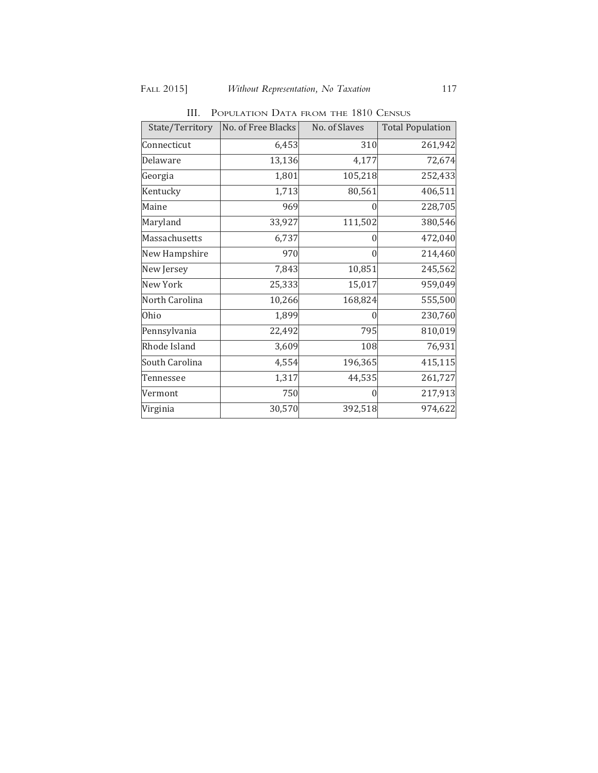| State/Territory | No. of Free Blacks | No. of Slaves | <b>Total Population</b> |
|-----------------|--------------------|---------------|-------------------------|
| Connecticut     | 6,453              | 310           | 261,942                 |
| Delaware        | 13,136             | 4,177         | 72,674                  |
| Georgia         | 1,801              | 105,218       | 252,433                 |
| Kentucky        | 1,713              | 80,561        | 406,511                 |
| Maine           | 969                | 0             | 228,705                 |
| Maryland        | 33,927             | 111,502       | 380,546                 |
| Massachusetts   | 6,737              | 0             | 472,040                 |
| New Hampshire   | 970                | $\theta$      | 214,460                 |
| New Jersey      | 7,843              | 10,851        | 245,562                 |
| New York        | 25,333             | 15,017        | 959,049                 |
| North Carolina  | 10,266             | 168,824       | 555,500                 |
| Ohio            | 1,899              |               | 230,760                 |
| Pennsylvania    | 22,492             | 795           | 810,019                 |
| Rhode Island    | 3,609              | 108           | 76,931                  |
| South Carolina  | 4,554              | 196,365       | 415,115                 |
| Tennessee       | 1,317              | 44,535        | 261,727                 |
| Vermont         | 750                |               | 217,913                 |
| Virginia        | 30,570             | 392,518       | 974,622                 |

III. POPULATION DATA FROM THE 1810 CENSUS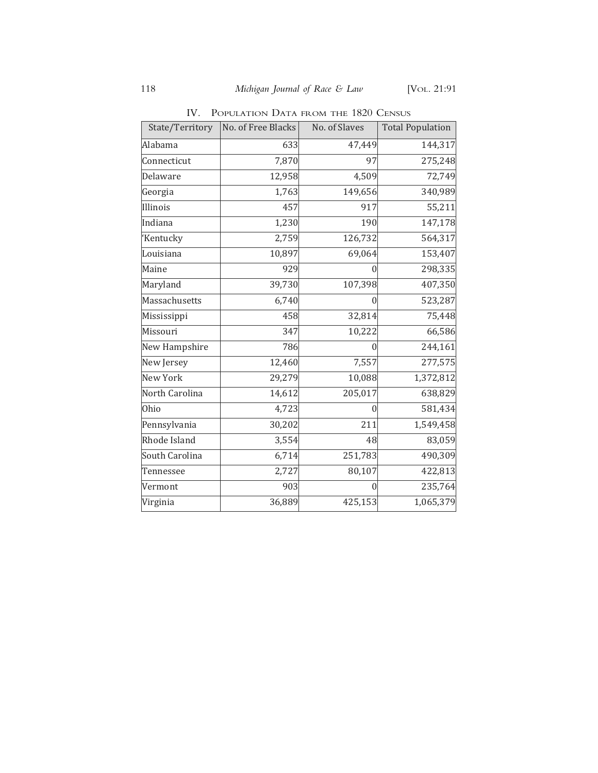| State/Territory | No. of Free Blacks | No. of Slaves | <b>Total Population</b> |
|-----------------|--------------------|---------------|-------------------------|
| Alabama         | 633                | 47,449        | 144,317                 |
| Connecticut     | 7,870              | 97            | 275,248                 |
| Delaware        | 12,958             | 4,509         | 72,749                  |
| Georgia         | 1,763              | 149,656       | 340,989                 |
| Illinois        | 457                | 917           | 55,211                  |
| Indiana         | 1,230              | 190           | 147,178                 |
| 'Kentucky       | 2,759              | 126,732       | 564,317                 |
| Louisiana       | 10,897             | 69,064        | 153,407                 |
| Maine           | 929                | 0             | 298,335                 |
| Maryland        | 39,730             | 107,398       | 407,350                 |
| Massachusetts   | 6,740              | 0             | 523,287                 |
| Mississippi     | 458                | 32,814        | 75,448                  |
| Missouri        | 347                | 10,222        | 66,586                  |
| New Hampshire   | 786                |               | 244,161                 |
| New Jersey      | 12,460             | 7,557         | 277,575                 |
| New York        | 29,279             | 10,088        | 1,372,812               |
| North Carolina  | 14,612             | 205,017       | 638,829                 |
| Ohio            | 4,723              |               | 581,434                 |
| Pennsylvania    | 30,202             | 211           | 1,549,458               |
| Rhode Island    | 3,554              | 48            | 83,059                  |
| South Carolina  | 6,714              | 251,783       | 490,309                 |
| Tennessee       | 2,727              | 80,107        | 422,813                 |
| Vermont         | 903                | $\Omega$      | 235,764                 |
| Virginia        | 36,889             | 425,153       | 1,065,379               |

IV. POPULATION DATA FROM THE 1820 CENSUS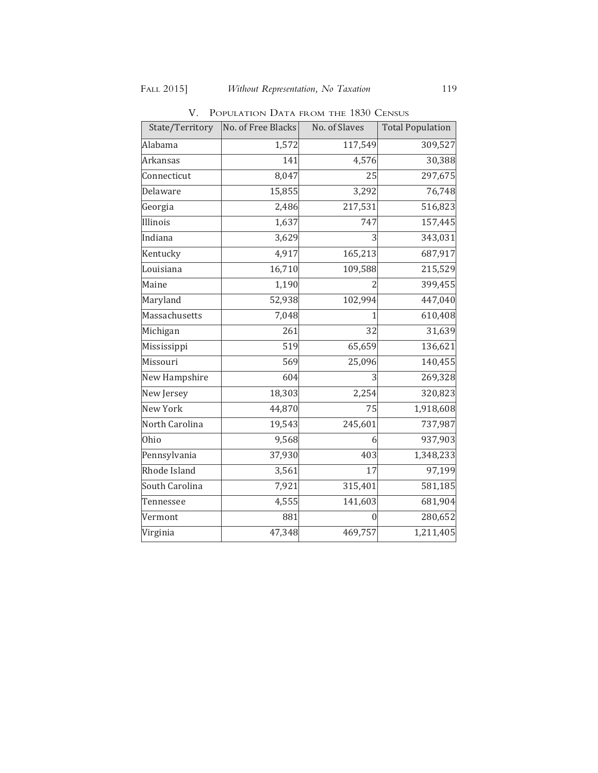| State/Territory | No. of Free Blacks | No. of Slaves | <b>Total Population</b> |
|-----------------|--------------------|---------------|-------------------------|
| Alabama         | 1,572              | 117,549       | 309,527                 |
| <b>Arkansas</b> | 141                | 4,576         | 30,388                  |
| Connecticut     | 8,047              | 25            | 297,675                 |
| Delaware        | 15,855             | 3,292         | 76,748                  |
| Georgia         | 2,486              | 217,531       | 516,823                 |
| Illinois        | 1,637              | 747           | 157,445                 |
| Indiana         | 3,629              |               | 343,031                 |
| Kentucky        | 4,917              | 165,213       | 687,917                 |
| Louisiana       | 16,710             | 109,588       | 215,529                 |
| Maine           | 1,190              |               | 399,455                 |
| Maryland        | 52,938             | 102,994       | 447,040                 |
| Massachusetts   | 7,048              |               | 610,408                 |
| Michigan        | 261                | 32            | 31,639                  |
| Mississippi     | 519                | 65,659        | 136,621                 |
| Missouri        | 569                | 25,096        | 140,455                 |
| New Hampshire   | 604                | 3             | 269,328                 |
| New Jersey      | 18,303             | 2,254         | 320,823                 |
| New York        | 44,870             | 75            | 1,918,608               |
| North Carolina  | 19,543             | 245,601       | 737,987                 |
| Ohio            | 9,568              | 6             | 937,903                 |
| Pennsylvania    | 37,930             | 403           | 1,348,233               |
| Rhode Island    | 3,561              | 17            | 97,199                  |
| South Carolina  | 7,921              | 315,401       | 581,185                 |
| Tennessee       | 4,555              | 141,603       | 681,904                 |
| Vermont         | 881                |               | 280,652                 |
| Virginia        | 47,348             | 469,757       | 1,211,405               |

V. POPULATION DATA FROM THE 1830 CENSUS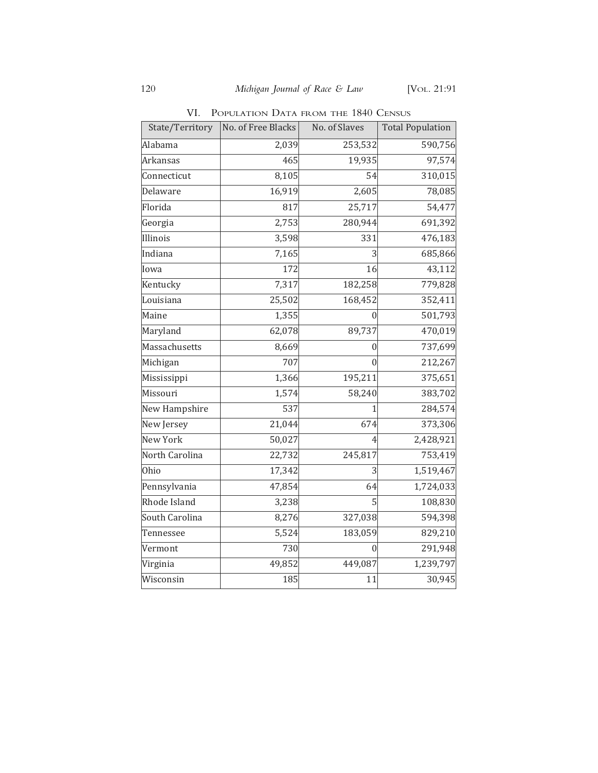|  | VI. POPULATION DATA FROM THE 1840 CENSUS |  |  |  |  |  |
|--|------------------------------------------|--|--|--|--|--|
|--|------------------------------------------|--|--|--|--|--|

| State/Territory               | No. of Free Blacks | No. of Slaves | <b>Total Population</b> |
|-------------------------------|--------------------|---------------|-------------------------|
| Alabama                       | 2,039              | 253,532       | 590,756                 |
| Arkansas                      | 465                | 19,935        | 97,574                  |
| Connecticut                   | 8,105              | 54            | 310,015                 |
| Delaware                      | 16,919             | 2,605         | 78,085                  |
| Florida                       | 817                | 25,717        | 54,477                  |
| $\overline{\mathsf{Georgia}}$ | 2,753              | 280,944       | 691,392                 |
| <b>Illinois</b>               | 3,598              | 331           | 476,183                 |
| Indiana                       | 7,165              | 3             | 685,866                 |
| Iowa                          | 172                | 16            | 43,112                  |
| Kentucky                      | 7,317              | 182,258       | 779,828                 |
| Louisiana                     | 25,502             | 168,452       | 352,411                 |
| Maine                         | 1,355              |               | 501,793                 |
| Maryland                      | 62,078             | 89,737        | 470,019                 |
| Massachusetts                 | 8,669              | 0             | 737,699                 |
| Michigan                      | 707                | $\Omega$      | 212,267                 |
| Mississippi                   | 1,366              | 195,211       | 375,651                 |
| Missouri                      | 1,574              | 58,240        | 383,702                 |
| New Hampshire                 | 537                |               | 284,574                 |
| New Jersey                    | 21,044             | 674           | 373,306                 |
| <b>New York</b>               | 50,027             |               | 2,428,921               |
| North Carolina                | 22,732             | 245,817       | 753,419                 |
| Ohio                          | 17,342             | 3             | 1,519,467               |
| Pennsylvania                  | 47,854             | 64            | 1,724,033               |
| Rhode Island                  | 3,238              |               | 108,830                 |
| South Carolina                | 8,276              | 327,038       | 594,398                 |
| Tennessee                     | 5,524              | 183,059       | 829,210                 |
| Vermont                       | 730                | 0             | 291,948                 |
| Virginia                      | 49,852             | 449,087       | 1,239,797               |
| Wisconsin                     | 185                | 11            | 30,945                  |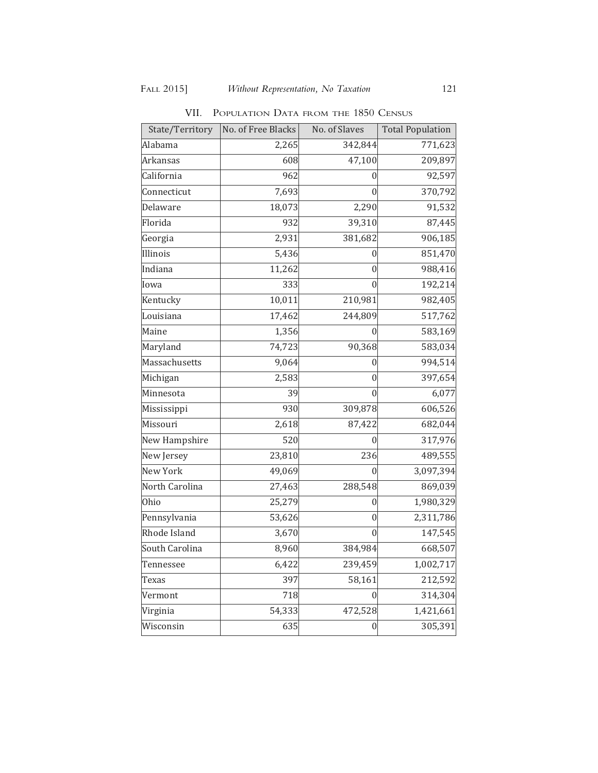| State/Territory | No. of Free Blacks | No. of Slaves    | <b>Total Population</b> |
|-----------------|--------------------|------------------|-------------------------|
| Alabama         | 2,265              | 342,844          | 771,623                 |
| Arkansas        | 608                | 47,100           | 209,897                 |
| California      | 962                | 0                | 92,597                  |
| Connecticut     | 7,693              | 0                | 370,792                 |
| Delaware        | 18,073             | 2,290            | 91,532                  |
| Florida         | 932                | 39,310           | 87,445                  |
| Georgia         | 2,931              | 381,682          | 906,185                 |
| Illinois        | 5,436              | O                | 851,470                 |
| Indiana         | 11,262             | $\mathbf{0}$     | 988,416                 |
| Iowa            | 333                | 0                | 192,214                 |
| Kentucky        | 10,011             | 210,981          | 982,405                 |
| Louisiana       | 17, 462            | 244,809          | 517,762                 |
| Maine           | 1,356              | 0                | 583,169                 |
| Maryland        | 74,723             | 90,368           | 583,034                 |
| Massachusetts   | 9,064              | 0                | 994,514                 |
| Michigan        | 2,583              | 0                | 397,654                 |
| Minnesota       | 39                 | 0                | 6,077                   |
| Mississippi     | 930                | 309,878          | 606,526                 |
| Missouri        | 2,618              | 87,422           | 682,044                 |
| New Hampshire   | 520                | $\mathbf{0}$     | 317,976                 |
| New Jersey      | 23,810             | 236              | 489,555                 |
| <b>New York</b> | 49,069             | 0                | 3,097,394               |
| North Carolina  | 27,463             | 288,548          | 869,039                 |
| Ohio            | 25,279             | 0                | 1,980,329               |
| Pennsylvania    | 53,626             | 0                | 2,311,786               |
| Rhode Island    | 3,670              | 0                | 147,545                 |
| South Carolina  | 8,960              | 384,984          | 668,507                 |
| Tennessee       | 6,422              | 239,459          | 1,002,717               |
| Texas           | 397                | 58,161           | 212,592                 |
| Vermont         | 718                | 0                | 314,304                 |
| Virginia        | 54,333             | 472,528          | 1,421,661               |
| Wisconsin       | 635                | $\boldsymbol{0}$ | 305,391                 |

VII. POPULATION DATA FROM THE 1850 CENSUS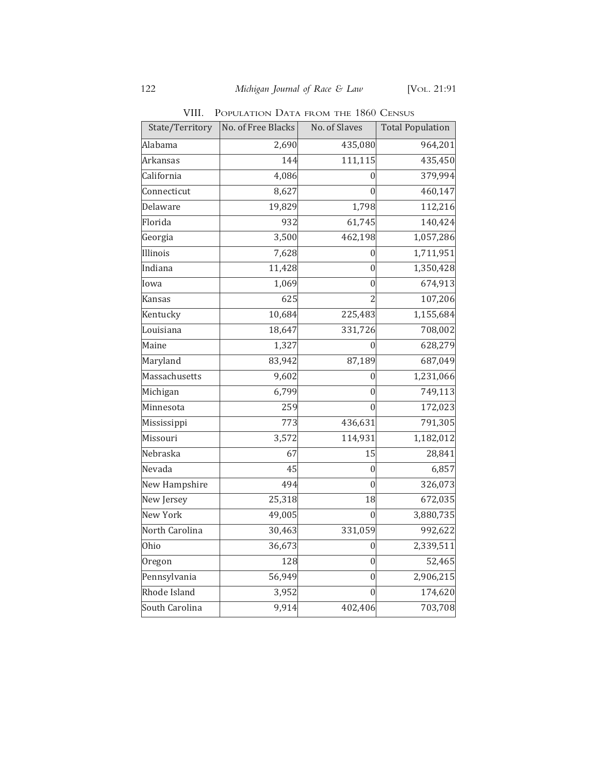VIII. POPULATION DATA FROM THE 1860 CENSUS

| State/Territory | No. of Free Blacks | No. of Slaves  | <b>Total Population</b> |
|-----------------|--------------------|----------------|-------------------------|
| Alabama         | 2,690              | 435,080        | 964,201                 |
| Arkansas        | 144                | 111,115        | 435,450                 |
| California      | 4,086              | 0              | 379,994                 |
| Connecticut     | 8,627              | $\Omega$       | 460,147                 |
| Delaware        | 19,829             | 1,798          | 112,216                 |
| Florida         | 932                | 61,745         | 140,424                 |
| Georgia         | 3,500              | 462,198        | 1,057,286               |
| Illinois        | 7,628              | 0              | 1,711,951               |
| Indiana         | 11,428             | 0              | 1,350,428               |
| Iowa            | 1,069              | 0              | 674,913                 |
| Kansas          | 625                | $\overline{2}$ | 107,206                 |
| Kentucky        | 10,684             | 225,483        | 1,155,684               |
| Louisiana       | 18,647             | 331,726        | 708,002                 |
| Maine           | 1,327              |                | 628,279                 |
| Maryland        | 83,942             | 87,189         | 687,049                 |
| Massachusetts   | 9,602              | 0              | 1,231,066               |
| Michigan        | 6,799              | $\Omega$       | 749,113                 |
| Minnesota       | 259                | 0              | 172,023                 |
| Mississippi     | 773                | 436,631        | 791,305                 |
| Missouri        | 3,572              | 114,931        | 1,182,012               |
| Nebraska        | 67                 | 15             | 28,841                  |
| Nevada          | 45                 | 0              | 6,857                   |
| New Hampshire   | 494                | $\Omega$       | 326,073                 |
| New Jersey      | 25,318             | 18             | 672,035                 |
| New York        | 49,005             | $\Omega$       | 3,880,735               |
| North Carolina  | 30,463             | 331,059        | 992,622                 |
| Ohio            | 36,673             | 0              | 2,339,511               |
| Oregon          | 128                | 0              | 52,465                  |
| Pennsylvania    | 56,949             | $\overline{0}$ | 2,906,215               |
| Rhode Island    | 3,952              | 0              | 174,620                 |
| South Carolina  | 9,914              | 402,406        | 703,708                 |